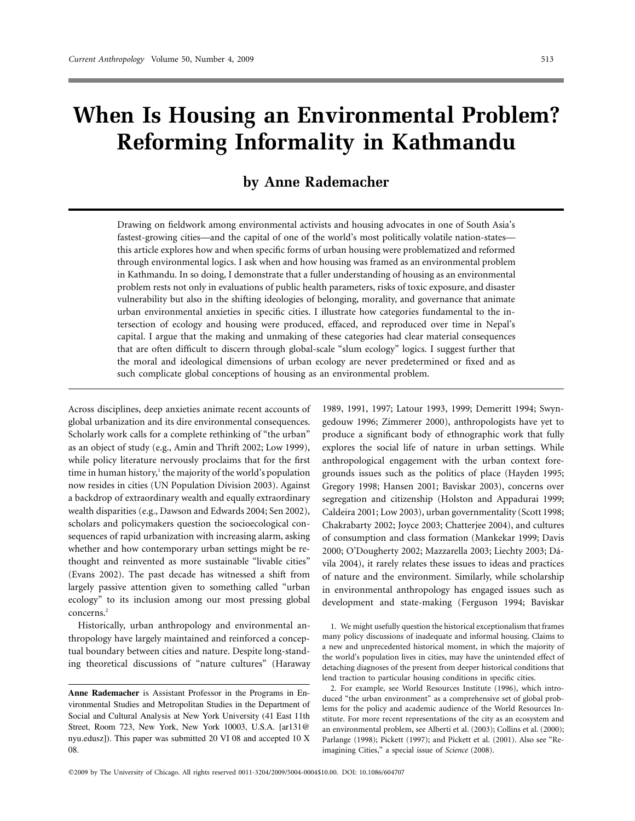# **When Is Housing an Environmental Problem? Reforming Informality in Kathmandu**

**by Anne Rademacher**

Drawing on fieldwork among environmental activists and housing advocates in one of South Asia's fastest-growing cities—and the capital of one of the world's most politically volatile nation-states this article explores how and when specific forms of urban housing were problematized and reformed through environmental logics. I ask when and how housing was framed as an environmental problem in Kathmandu. In so doing, I demonstrate that a fuller understanding of housing as an environmental problem rests not only in evaluations of public health parameters, risks of toxic exposure, and disaster vulnerability but also in the shifting ideologies of belonging, morality, and governance that animate urban environmental anxieties in specific cities. I illustrate how categories fundamental to the intersection of ecology and housing were produced, effaced, and reproduced over time in Nepal's capital. I argue that the making and unmaking of these categories had clear material consequences that are often difficult to discern through global-scale "slum ecology" logics. I suggest further that the moral and ideological dimensions of urban ecology are never predetermined or fixed and as such complicate global conceptions of housing as an environmental problem.

Across disciplines, deep anxieties animate recent accounts of global urbanization and its dire environmental consequences. Scholarly work calls for a complete rethinking of "the urban" as an object of study (e.g., Amin and Thrift 2002; Low 1999), while policy literature nervously proclaims that for the first time in human history, $\frac{1}{2}$  the majority of the world's population now resides in cities (UN Population Division 2003). Against a backdrop of extraordinary wealth and equally extraordinary wealth disparities (e.g., Dawson and Edwards 2004; Sen 2002), scholars and policymakers question the socioecological consequences of rapid urbanization with increasing alarm, asking whether and how contemporary urban settings might be rethought and reinvented as more sustainable "livable cities" (Evans 2002). The past decade has witnessed a shift from largely passive attention given to something called "urban ecology" to its inclusion among our most pressing global concerns.<sup>2</sup>

Historically, urban anthropology and environmental anthropology have largely maintained and reinforced a conceptual boundary between cities and nature. Despite long-standing theoretical discussions of "nature cultures" (Haraway

1989, 1991, 1997; Latour 1993, 1999; Demeritt 1994; Swyngedouw 1996; Zimmerer 2000), anthropologists have yet to produce a significant body of ethnographic work that fully explores the social life of nature in urban settings. While anthropological engagement with the urban context foregrounds issues such as the politics of place (Hayden 1995; Gregory 1998; Hansen 2001; Baviskar 2003), concerns over segregation and citizenship (Holston and Appadurai 1999; Caldeira 2001; Low 2003), urban governmentality (Scott 1998; Chakrabarty 2002; Joyce 2003; Chatterjee 2004), and cultures of consumption and class formation (Mankekar 1999; Davis 2000; O'Dougherty 2002; Mazzarella 2003; Liechty 2003; Dávila 2004), it rarely relates these issues to ideas and practices of nature and the environment. Similarly, while scholarship in environmental anthropology has engaged issues such as development and state-making (Ferguson 1994; Baviskar

**Anne Rademacher** is Assistant Professor in the Programs in Environmental Studies and Metropolitan Studies in the Department of Social and Cultural Analysis at New York University (41 East 11th Street, Room 723, New York, New York 10003, U.S.A. [ar131@ nyu.edusz]). This paper was submitted 20 VI 08 and accepted 10 X 08.

<sup>1.</sup> We might usefully question the historical exceptionalism that frames many policy discussions of inadequate and informal housing. Claims to a new and unprecedented historical moment, in which the majority of the world's population lives in cities, may have the unintended effect of detaching diagnoses of the present from deeper historical conditions that lend traction to particular housing conditions in specific cities.

<sup>2.</sup> For example, see World Resources Institute (1996), which introduced "the urban environment" as a comprehensive set of global problems for the policy and academic audience of the World Resources Institute. For more recent representations of the city as an ecosystem and an environmental problem, see Alberti et al. (2003); Collins et al. (2000); Parlange (1998); Pickett (1997); and Pickett et al. (2001). Also see "Reimagining Cities," a special issue of *Science* (2008).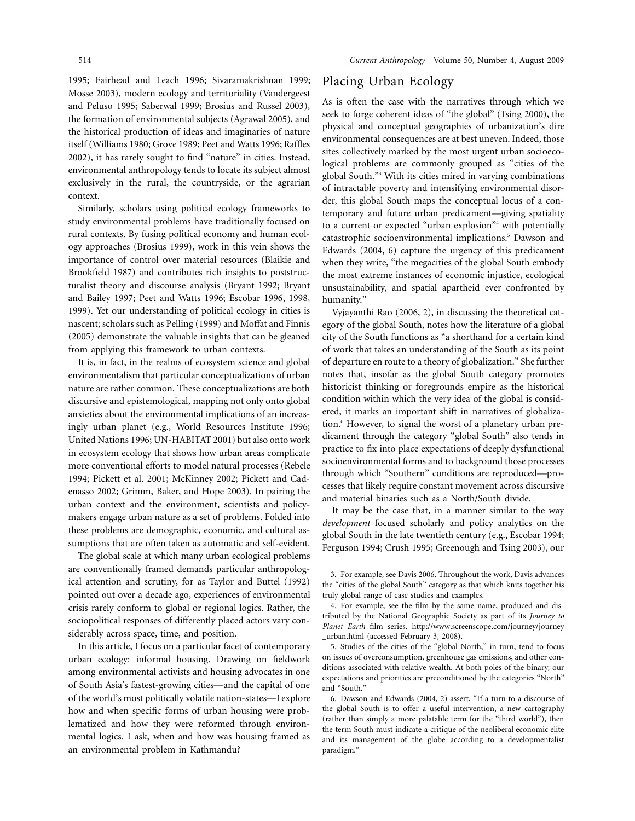514 *Current Anthropology* Volume 50, Number 4, August 2009

1995; Fairhead and Leach 1996; Sivaramakrishnan 1999; Mosse 2003), modern ecology and territoriality (Vandergeest and Peluso 1995; Saberwal 1999; Brosius and Russel 2003), the formation of environmental subjects (Agrawal 2005), and the historical production of ideas and imaginaries of nature itself (Williams 1980; Grove 1989; Peet and Watts 1996; Raffles 2002), it has rarely sought to find "nature" in cities. Instead, environmental anthropology tends to locate its subject almost exclusively in the rural, the countryside, or the agrarian context.

Similarly, scholars using political ecology frameworks to study environmental problems have traditionally focused on rural contexts. By fusing political economy and human ecology approaches (Brosius 1999), work in this vein shows the importance of control over material resources (Blaikie and Brookfield 1987) and contributes rich insights to poststructuralist theory and discourse analysis (Bryant 1992; Bryant and Bailey 1997; Peet and Watts 1996; Escobar 1996, 1998, 1999). Yet our understanding of political ecology in cities is nascent; scholars such as Pelling (1999) and Moffat and Finnis (2005) demonstrate the valuable insights that can be gleaned from applying this framework to urban contexts.

It is, in fact, in the realms of ecosystem science and global environmentalism that particular conceptualizations of urban nature are rather common. These conceptualizations are both discursive and epistemological, mapping not only onto global anxieties about the environmental implications of an increasingly urban planet (e.g., World Resources Institute 1996; United Nations 1996; UN-HABITAT 2001) but also onto work in ecosystem ecology that shows how urban areas complicate more conventional efforts to model natural processes (Rebele 1994; Pickett et al. 2001; McKinney 2002; Pickett and Cadenasso 2002; Grimm, Baker, and Hope 2003). In pairing the urban context and the environment, scientists and policymakers engage urban nature as a set of problems. Folded into these problems are demographic, economic, and cultural assumptions that are often taken as automatic and self-evident.

The global scale at which many urban ecological problems are conventionally framed demands particular anthropological attention and scrutiny, for as Taylor and Buttel (1992) pointed out over a decade ago, experiences of environmental crisis rarely conform to global or regional logics. Rather, the sociopolitical responses of differently placed actors vary considerably across space, time, and position.

In this article, I focus on a particular facet of contemporary urban ecology: informal housing. Drawing on fieldwork among environmental activists and housing advocates in one of South Asia's fastest-growing cities—and the capital of one of the world's most politically volatile nation-states—I explore how and when specific forms of urban housing were problematized and how they were reformed through environmental logics. I ask, when and how was housing framed as an environmental problem in Kathmandu?

### Placing Urban Ecology

As is often the case with the narratives through which we seek to forge coherent ideas of "the global" (Tsing 2000), the physical and conceptual geographies of urbanization's dire environmental consequences are at best uneven. Indeed, those sites collectively marked by the most urgent urban socioecological problems are commonly grouped as "cities of the global South."3 With its cities mired in varying combinations of intractable poverty and intensifying environmental disorder, this global South maps the conceptual locus of a contemporary and future urban predicament—giving spatiality to a current or expected "urban explosion"4 with potentially catastrophic socioenvironmental implications.<sup>5</sup> Dawson and Edwards (2004, 6) capture the urgency of this predicament when they write, "the megacities of the global South embody the most extreme instances of economic injustice, ecological unsustainability, and spatial apartheid ever confronted by humanity."

Vyjayanthi Rao (2006, 2), in discussing the theoretical category of the global South, notes how the literature of a global city of the South functions as "a shorthand for a certain kind of work that takes an understanding of the South as its point of departure en route to a theory of globalization." She further notes that, insofar as the global South category promotes historicist thinking or foregrounds empire as the historical condition within which the very idea of the global is considered, it marks an important shift in narratives of globalization.<sup>6</sup> However, to signal the worst of a planetary urban predicament through the category "global South" also tends in practice to fix into place expectations of deeply dysfunctional socioenvironmental forms and to background those processes through which "Southern" conditions are reproduced—processes that likely require constant movement across discursive and material binaries such as a North/South divide.

It may be the case that, in a manner similar to the way *development* focused scholarly and policy analytics on the global South in the late twentieth century (e.g., Escobar 1994; Ferguson 1994; Crush 1995; Greenough and Tsing 2003), our

5. Studies of the cities of the "global North," in turn, tend to focus on issues of overconsumption, greenhouse gas emissions, and other conditions associated with relative wealth. At both poles of the binary, our expectations and priorities are preconditioned by the categories "North" and "South."

6. Dawson and Edwards (2004, 2) assert, "If a turn to a discourse of the global South is to offer a useful intervention, a new cartography (rather than simply a more palatable term for the "third world"), then the term South must indicate a critique of the neoliberal economic elite and its management of the globe according to a developmentalist paradigm."

<sup>3.</sup> For example, see Davis 2006. Throughout the work, Davis advances the "cities of the global South" category as that which knits together his truly global range of case studies and examples.

<sup>4.</sup> For example, see the film by the same name, produced and distributed by the National Geographic Society as part of its *Journey to Planet Earth* film series. http://www.screenscope.com/journey/journey \_urban.html (accessed February 3, 2008).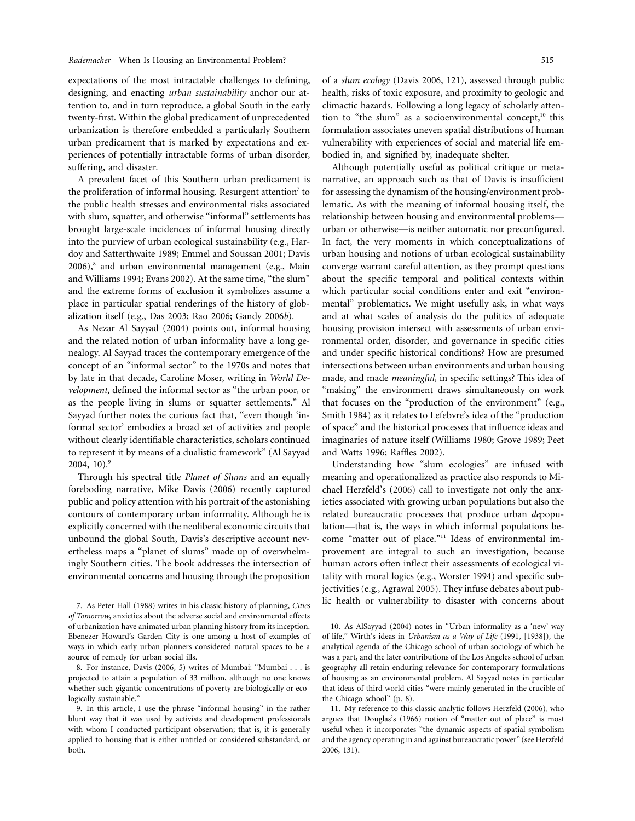expectations of the most intractable challenges to defining, designing, and enacting *urban sustainability* anchor our attention to, and in turn reproduce, a global South in the early twenty-first. Within the global predicament of unprecedented urbanization is therefore embedded a particularly Southern urban predicament that is marked by expectations and experiences of potentially intractable forms of urban disorder, suffering, and disaster.

A prevalent facet of this Southern urban predicament is the proliferation of informal housing. Resurgent attention<sup>7</sup> to the public health stresses and environmental risks associated with slum, squatter, and otherwise "informal" settlements has brought large-scale incidences of informal housing directly into the purview of urban ecological sustainability (e.g., Hardoy and Satterthwaite 1989; Emmel and Soussan 2001; Davis  $2006$ ,<sup>8</sup> and urban environmental management (e.g., Main and Williams 1994; Evans 2002). At the same time, "the slum" and the extreme forms of exclusion it symbolizes assume a place in particular spatial renderings of the history of globalization itself (e.g., Das 2003; Rao 2006; Gandy 2006*b*).

As Nezar Al Sayyad (2004) points out, informal housing and the related notion of urban informality have a long genealogy. Al Sayyad traces the contemporary emergence of the concept of an "informal sector" to the 1970s and notes that by late in that decade, Caroline Moser, writing in *World Development*, defined the informal sector as "the urban poor, or as the people living in slums or squatter settlements." Al Sayyad further notes the curious fact that, "even though 'informal sector' embodies a broad set of activities and people without clearly identifiable characteristics, scholars continued to represent it by means of a dualistic framework" (Al Sayyad  $2004, 10$ .

Through his spectral title *Planet of Slums* and an equally foreboding narrative, Mike Davis (2006) recently captured public and policy attention with his portrait of the astonishing contours of contemporary urban informality. Although he is explicitly concerned with the neoliberal economic circuits that unbound the global South, Davis's descriptive account nevertheless maps a "planet of slums" made up of overwhelmingly Southern cities. The book addresses the intersection of environmental concerns and housing through the proposition of a *slum ecology* (Davis 2006, 121), assessed through public health, risks of toxic exposure, and proximity to geologic and climactic hazards. Following a long legacy of scholarly attention to "the slum" as a socioenvironmental concept,<sup>10</sup> this formulation associates uneven spatial distributions of human vulnerability with experiences of social and material life embodied in, and signified by, inadequate shelter.

Although potentially useful as political critique or metanarrative, an approach such as that of Davis is insufficient for assessing the dynamism of the housing/environment problematic. As with the meaning of informal housing itself, the relationship between housing and environmental problems urban or otherwise—is neither automatic nor preconfigured. In fact, the very moments in which conceptualizations of urban housing and notions of urban ecological sustainability converge warrant careful attention, as they prompt questions about the specific temporal and political contexts within which particular social conditions enter and exit "environmental" problematics. We might usefully ask, in what ways and at what scales of analysis do the politics of adequate housing provision intersect with assessments of urban environmental order, disorder, and governance in specific cities and under specific historical conditions? How are presumed intersections between urban environments and urban housing made, and made *meaningful*, in specific settings? This idea of "making" the environment draws simultaneously on work that focuses on the "production of the environment" (e.g., Smith 1984) as it relates to Lefebvre's idea of the "production of space" and the historical processes that influence ideas and imaginaries of nature itself (Williams 1980; Grove 1989; Peet and Watts 1996; Raffles 2002).

Understanding how "slum ecologies" are infused with meaning and operationalized as practice also responds to Michael Herzfeld's (2006) call to investigate not only the anxieties associated with growing urban populations but also the related bureaucratic processes that produce urban *de*population—that is, the ways in which informal populations become "matter out of place."11 Ideas of environmental improvement are integral to such an investigation, because human actors often inflect their assessments of ecological vitality with moral logics (e.g., Worster 1994) and specific subjectivities (e.g., Agrawal 2005). They infuse debates about public health or vulnerability to disaster with concerns about

10. As AlSayyad (2004) notes in "Urban informality as a 'new' way of life," Wirth's ideas in *Urbanism as a Way of Life* (1991, [1938]), the analytical agenda of the Chicago school of urban sociology of which he was a part, and the later contributions of the Los Angeles school of urban geography all retain enduring relevance for contemporary formulations of housing as an environmental problem. Al Sayyad notes in particular that ideas of third world cities "were mainly generated in the crucible of the Chicago school" (p. 8).

11. My reference to this classic analytic follows Herzfeld (2006), who argues that Douglas's (1966) notion of "matter out of place" is most useful when it incorporates "the dynamic aspects of spatial symbolism and the agency operating in and against bureaucratic power" (see Herzfeld 2006, 131).

<sup>7.</sup> As Peter Hall (1988) writes in his classic history of planning, *Cities of Tomorrow*, anxieties about the adverse social and environmental effects of urbanization have animated urban planning history from its inception. Ebenezer Howard's Garden City is one among a host of examples of ways in which early urban planners considered natural spaces to be a source of remedy for urban social ills.

<sup>8.</sup> For instance, Davis (2006, 5) writes of Mumbai: "Mumbai . . . is projected to attain a population of 33 million, although no one knows whether such gigantic concentrations of poverty are biologically or ecologically sustainable."

<sup>9.</sup> In this article, I use the phrase "informal housing" in the rather blunt way that it was used by activists and development professionals with whom I conducted participant observation; that is, it is generally applied to housing that is either untitled or considered substandard, or both.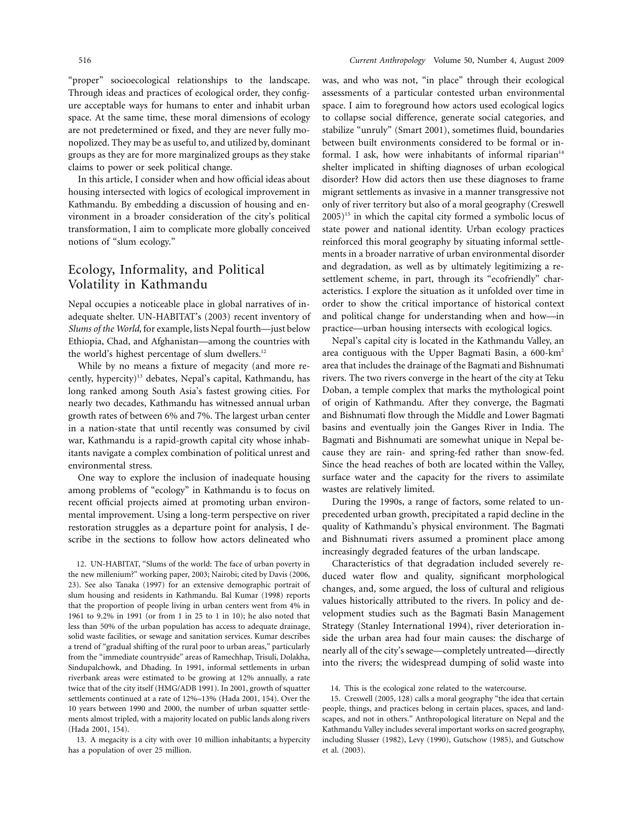"proper" socioecological relationships to the landscape. Through ideas and practices of ecological order, they configure acceptable ways for humans to enter and inhabit urban space. At the same time, these moral dimensions of ecology are not predetermined or fixed, and they are never fully monopolized. They may be as useful to, and utilized by, dominant groups as they are for more marginalized groups as they stake claims to power or seek political change.

In this article, I consider when and how official ideas about housing intersected with logics of ecological improvement in Kathmandu. By embedding a discussion of housing and environment in a broader consideration of the city's political transformation, I aim to complicate more globally conceived notions of "slum ecology."

## Ecology, Informality, and Political Volatility in Kathmandu

Nepal occupies a noticeable place in global narratives of inadequate shelter. UN-HABITAT's (2003) recent inventory of *Slums of the World*, for example, lists Nepal fourth—just below Ethiopia, Chad, and Afghanistan—among the countries with the world's highest percentage of slum dwellers.<sup>12</sup>

While by no means a fixture of megacity (and more recently, hypercity)<sup>13</sup> debates, Nepal's capital, Kathmandu, has long ranked among South Asia's fastest growing cities. For nearly two decades, Kathmandu has witnessed annual urban growth rates of between 6% and 7%. The largest urban center in a nation-state that until recently was consumed by civil war, Kathmandu is a rapid-growth capital city whose inhabitants navigate a complex combination of political unrest and environmental stress.

One way to explore the inclusion of inadequate housing among problems of "ecology" in Kathmandu is to focus on recent official projects aimed at promoting urban environmental improvement. Using a long-term perspective on river restoration struggles as a departure point for analysis, I describe in the sections to follow how actors delineated who

12. UN-HABITAT, "Slums of the world: The face of urban poverty in the new millenium?" working paper, 2003; Nairobi; cited by Davis (2006, 23). See also Tanaka (1997) for an extensive demographic portrait of slum housing and residents in Kathmandu. Bal Kumar (1998) reports that the proportion of people living in urban centers went from 4% in 1961 to 9.2% in 1991 (or from 1 in 25 to 1 in 10); he also noted that less than 50% of the urban population has access to adequate drainage, solid waste facilities, or sewage and sanitation services. Kumar describes a trend of "gradual shifting of the rural poor to urban areas," particularly from the "immediate countryside" areas of Ramechhap, Trisuli, Dolakha, Sindupalchowk, and Dhading. In 1991, informal settlements in urban riverbank areas were estimated to be growing at 12% annually, a rate twice that of the city itself (HMG/ADB 1991). In 2001, growth of squatter settlements continued at a rate of 12%–13% (Hada 2001, 154). Over the 10 years between 1990 and 2000, the number of urban squatter settlements almost tripled, with a majority located on public lands along rivers (Hada 2001, 154).

13. A megacity is a city with over 10 million inhabitants; a hypercity has a population of over 25 million.

was, and who was not, "in place" through their ecological assessments of a particular contested urban environmental space. I aim to foreground how actors used ecological logics to collapse social difference, generate social categories, and stabilize "unruly" (Smart 2001), sometimes fluid, boundaries between built environments considered to be formal or informal. I ask, how were inhabitants of informal riparian $14$ shelter implicated in shifting diagnoses of urban ecological disorder? How did actors then use these diagnoses to frame migrant settlements as invasive in a manner transgressive not only of river territory but also of a moral geography (Creswell  $2005$ <sup>15</sup> in which the capital city formed a symbolic locus of state power and national identity. Urban ecology practices reinforced this moral geography by situating informal settlements in a broader narrative of urban environmental disorder and degradation, as well as by ultimately legitimizing a resettlement scheme, in part, through its "ecofriendly" characteristics. I explore the situation as it unfolded over time in order to show the critical importance of historical context and political change for understanding when and how—in practice—urban housing intersects with ecological logics.

Nepal's capital city is located in the Kathmandu Valley, an area contiguous with the Upper Bagmati Basin, a 600-km2 area that includes the drainage of the Bagmati and Bishnumati rivers. The two rivers converge in the heart of the city at Teku Doban, a temple complex that marks the mythological point of origin of Kathmandu. After they converge, the Bagmati and Bishnumati flow through the Middle and Lower Bagmati basins and eventually join the Ganges River in India. The Bagmati and Bishnumati are somewhat unique in Nepal because they are rain- and spring-fed rather than snow-fed. Since the head reaches of both are located within the Valley, surface water and the capacity for the rivers to assimilate wastes are relatively limited.

During the 1990s, a range of factors, some related to unprecedented urban growth, precipitated a rapid decline in the quality of Kathmandu's physical environment. The Bagmati and Bishnumati rivers assumed a prominent place among increasingly degraded features of the urban landscape.

Characteristics of that degradation included severely reduced water flow and quality, significant morphological changes, and, some argued, the loss of cultural and religious values historically attributed to the rivers. In policy and development studies such as the Bagmati Basin Management Strategy (Stanley International 1994), river deterioration inside the urban area had four main causes: the discharge of nearly all of the city's sewage—completely untreated—directly into the rivers; the widespread dumping of solid waste into

15. Creswell (2005, 128) calls a moral geography "the idea that certain people, things, and practices belong in certain places, spaces, and landscapes, and not in others." Anthropological literature on Nepal and the Kathmandu Valley includes several important works on sacred geography, including Slusser (1982), Levy (1990), Gutschow (1985), and Gutschow et al. (2003).

<sup>14.</sup> This is the ecological zone related to the watercourse.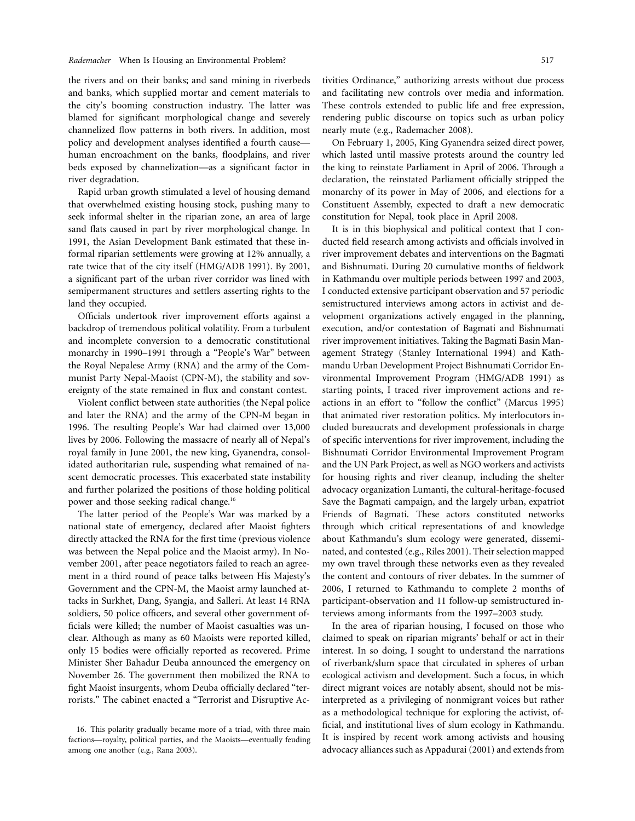the rivers and on their banks; and sand mining in riverbeds and banks, which supplied mortar and cement materials to the city's booming construction industry. The latter was blamed for significant morphological change and severely channelized flow patterns in both rivers. In addition, most policy and development analyses identified a fourth cause human encroachment on the banks, floodplains, and river beds exposed by channelization—as a significant factor in river degradation.

Rapid urban growth stimulated a level of housing demand that overwhelmed existing housing stock, pushing many to seek informal shelter in the riparian zone, an area of large sand flats caused in part by river morphological change. In 1991, the Asian Development Bank estimated that these informal riparian settlements were growing at 12% annually, a rate twice that of the city itself (HMG/ADB 1991). By 2001, a significant part of the urban river corridor was lined with semipermanent structures and settlers asserting rights to the land they occupied.

Officials undertook river improvement efforts against a backdrop of tremendous political volatility. From a turbulent and incomplete conversion to a democratic constitutional monarchy in 1990–1991 through a "People's War" between the Royal Nepalese Army (RNA) and the army of the Communist Party Nepal-Maoist (CPN-M), the stability and sovereignty of the state remained in flux and constant contest.

Violent conflict between state authorities (the Nepal police and later the RNA) and the army of the CPN-M began in 1996. The resulting People's War had claimed over 13,000 lives by 2006. Following the massacre of nearly all of Nepal's royal family in June 2001, the new king, Gyanendra, consolidated authoritarian rule, suspending what remained of nascent democratic processes. This exacerbated state instability and further polarized the positions of those holding political power and those seeking radical change.<sup>16</sup>

The latter period of the People's War was marked by a national state of emergency, declared after Maoist fighters directly attacked the RNA for the first time (previous violence was between the Nepal police and the Maoist army). In November 2001, after peace negotiators failed to reach an agreement in a third round of peace talks between His Majesty's Government and the CPN-M, the Maoist army launched attacks in Surkhet, Dang, Syangja, and Salleri. At least 14 RNA soldiers, 50 police officers, and several other government officials were killed; the number of Maoist casualties was unclear. Although as many as 60 Maoists were reported killed, only 15 bodies were officially reported as recovered. Prime Minister Sher Bahadur Deuba announced the emergency on November 26. The government then mobilized the RNA to fight Maoist insurgents, whom Deuba officially declared "terrorists." The cabinet enacted a "Terrorist and Disruptive Activities Ordinance," authorizing arrests without due process and facilitating new controls over media and information. These controls extended to public life and free expression, rendering public discourse on topics such as urban policy nearly mute (e.g., Rademacher 2008).

On February 1, 2005, King Gyanendra seized direct power, which lasted until massive protests around the country led the king to reinstate Parliament in April of 2006. Through a declaration, the reinstated Parliament officially stripped the monarchy of its power in May of 2006, and elections for a Constituent Assembly, expected to draft a new democratic constitution for Nepal, took place in April 2008.

It is in this biophysical and political context that I conducted field research among activists and officials involved in river improvement debates and interventions on the Bagmati and Bishnumati. During 20 cumulative months of fieldwork in Kathmandu over multiple periods between 1997 and 2003, I conducted extensive participant observation and 57 periodic semistructured interviews among actors in activist and development organizations actively engaged in the planning, execution, and/or contestation of Bagmati and Bishnumati river improvement initiatives. Taking the Bagmati Basin Management Strategy (Stanley International 1994) and Kathmandu Urban Development Project Bishnumati Corridor Environmental Improvement Program (HMG/ADB 1991) as starting points, I traced river improvement actions and reactions in an effort to "follow the conflict" (Marcus 1995) that animated river restoration politics. My interlocutors included bureaucrats and development professionals in charge of specific interventions for river improvement, including the Bishnumati Corridor Environmental Improvement Program and the UN Park Project, as well as NGO workers and activists for housing rights and river cleanup, including the shelter advocacy organization Lumanti, the cultural-heritage-focused Save the Bagmati campaign, and the largely urban, expatriot Friends of Bagmati. These actors constituted networks through which critical representations of and knowledge about Kathmandu's slum ecology were generated, disseminated, and contested (e.g., Riles 2001). Their selection mapped my own travel through these networks even as they revealed the content and contours of river debates. In the summer of 2006, I returned to Kathmandu to complete 2 months of participant-observation and 11 follow-up semistructured interviews among informants from the 1997–2003 study.

In the area of riparian housing, I focused on those who claimed to speak on riparian migrants' behalf or act in their interest. In so doing, I sought to understand the narrations of riverbank/slum space that circulated in spheres of urban ecological activism and development. Such a focus, in which direct migrant voices are notably absent, should not be misinterpreted as a privileging of nonmigrant voices but rather as a methodological technique for exploring the activist, official, and institutional lives of slum ecology in Kathmandu. It is inspired by recent work among activists and housing advocacy alliances such as Appadurai (2001) and extends from

<sup>16.</sup> This polarity gradually became more of a triad, with three main factions—royalty, political parties, and the Maoists—eventually feuding among one another (e.g., Rana 2003).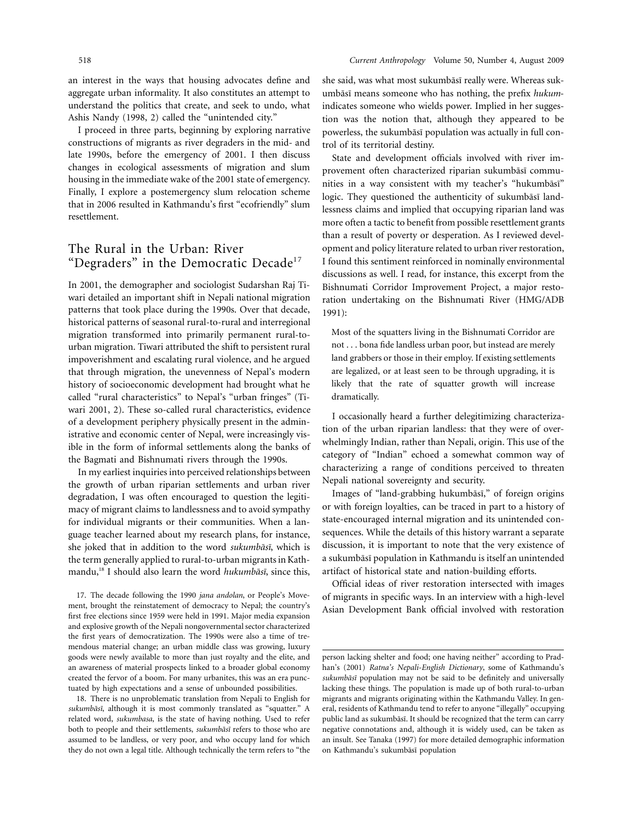an interest in the ways that housing advocates define and aggregate urban informality. It also constitutes an attempt to understand the politics that create, and seek to undo, what Ashis Nandy (1998, 2) called the "unintended city."

I proceed in three parts, beginning by exploring narrative constructions of migrants as river degraders in the mid- and late 1990s, before the emergency of 2001. I then discuss changes in ecological assessments of migration and slum housing in the immediate wake of the 2001 state of emergency. Finally, I explore a postemergency slum relocation scheme that in 2006 resulted in Kathmandu's first "ecofriendly" slum resettlement.

## The Rural in the Urban: River "Degraders" in the Democratic Decade<sup>17</sup>

In 2001, the demographer and sociologist Sudarshan Raj Tiwari detailed an important shift in Nepali national migration patterns that took place during the 1990s. Over that decade, historical patterns of seasonal rural-to-rural and interregional migration transformed into primarily permanent rural-tourban migration. Tiwari attributed the shift to persistent rural impoverishment and escalating rural violence, and he argued that through migration, the unevenness of Nepal's modern history of socioeconomic development had brought what he called "rural characteristics" to Nepal's "urban fringes" (Tiwari 2001, 2). These so-called rural characteristics, evidence of a development periphery physically present in the administrative and economic center of Nepal, were increasingly visible in the form of informal settlements along the banks of the Bagmati and Bishnumati rivers through the 1990s.

In my earliest inquiries into perceived relationships between the growth of urban riparian settlements and urban river degradation, I was often encouraged to question the legitimacy of migrant claims to landlessness and to avoid sympathy for individual migrants or their communities. When a language teacher learned about my research plans, for instance, she joked that in addition to the word *sukumbāsī*, which is the term generally applied to rural-to-urban migrants in Kathmandu,<sup>18</sup> I should also learn the word *hukumbāsī*, since this,

17. The decade following the 1990 *jana andolan*, or People's Movement, brought the reinstatement of democracy to Nepal; the country's first free elections since 1959 were held in 1991. Major media expansion and explosive growth of the Nepali nongovernmental sector characterized the first years of democratization. The 1990s were also a time of tremendous material change; an urban middle class was growing, luxury goods were newly available to more than just royalty and the elite, and an awareness of material prospects linked to a broader global economy created the fervor of a boom. For many urbanites, this was an era punctuated by high expectations and a sense of unbounded possibilities.

18. There is no unproblematic translation from Nepali to English for *sukumba¯sı¯*, although it is most commonly translated as "squatter." A related word, *sukumbasa*, is the state of having nothing. Used to refer both to people and their settlements, *sukumbāsī* refers to those who are assumed to be landless, or very poor, and who occupy land for which they do not own a legal title. Although technically the term refers to "the she said, was what most sukumbāsī really were. Whereas sukumbāsī means someone who has nothing, the prefix *hukum*indicates someone who wields power. Implied in her suggestion was the notion that, although they appeared to be powerless, the sukumbāsī population was actually in full control of its territorial destiny.

State and development officials involved with river improvement often characterized riparian sukumbāsī communities in a way consistent with my teacher's "hukumbāsī" logic. They questioned the authenticity of sukumbāsī landlessness claims and implied that occupying riparian land was more often a tactic to benefit from possible resettlement grants than a result of poverty or desperation. As I reviewed development and policy literature related to urban river restoration, I found this sentiment reinforced in nominally environmental discussions as well. I read, for instance, this excerpt from the Bishnumati Corridor Improvement Project, a major restoration undertaking on the Bishnumati River (HMG/ADB 1991):

Most of the squatters living in the Bishnumati Corridor are not . . . bona fide landless urban poor, but instead are merely land grabbers or those in their employ. If existing settlements are legalized, or at least seen to be through upgrading, it is likely that the rate of squatter growth will increase dramatically.

I occasionally heard a further delegitimizing characterization of the urban riparian landless: that they were of overwhelmingly Indian, rather than Nepali, origin. This use of the category of "Indian" echoed a somewhat common way of characterizing a range of conditions perceived to threaten Nepali national sovereignty and security.

Images of "land-grabbing hukumbāsī," of foreign origins or with foreign loyalties, can be traced in part to a history of state-encouraged internal migration and its unintended consequences. While the details of this history warrant a separate discussion, it is important to note that the very existence of a sukumbāsī population in Kathmandu is itself an unintended artifact of historical state and nation-building efforts.

Official ideas of river restoration intersected with images of migrants in specific ways. In an interview with a high-level Asian Development Bank official involved with restoration

person lacking shelter and food; one having neither" according to Pradhan's (2001) *Ratna's Nepali-English Dictionary*, some of Kathmandu's sukumbāsī population may not be said to be definitely and universally lacking these things. The population is made up of both rural-to-urban migrants and migrants originating within the Kathmandu Valley. In general, residents of Kathmandu tend to refer to anyone "illegally" occupying public land as sukumbāsī. It should be recognized that the term can carry negative connotations and, although it is widely used, can be taken as an insult. See Tanaka (1997) for more detailed demographic information on Kathmandu's sukumbāsī population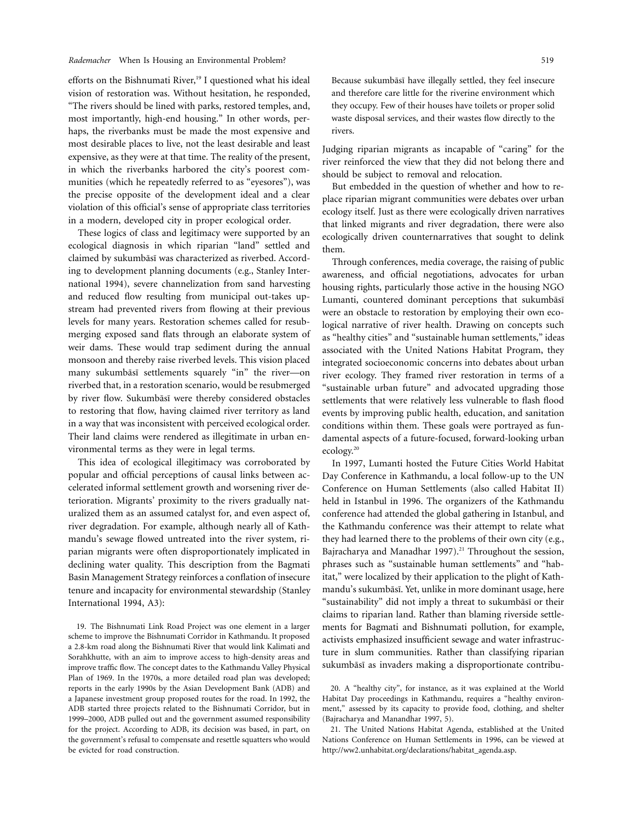efforts on the Bishnumati River,<sup>19</sup> I questioned what his ideal vision of restoration was. Without hesitation, he responded, "The rivers should be lined with parks, restored temples, and, most importantly, high-end housing." In other words, perhaps, the riverbanks must be made the most expensive and most desirable places to live, not the least desirable and least expensive, as they were at that time. The reality of the present, in which the riverbanks harbored the city's poorest communities (which he repeatedly referred to as "eyesores"), was the precise opposite of the development ideal and a clear violation of this official's sense of appropriate class territories in a modern, developed city in proper ecological order.

These logics of class and legitimacy were supported by an ecological diagnosis in which riparian "land" settled and claimed by sukumbāsī was characterized as riverbed. According to development planning documents (e.g., Stanley International 1994), severe channelization from sand harvesting and reduced flow resulting from municipal out-takes upstream had prevented rivers from flowing at their previous levels for many years. Restoration schemes called for resubmerging exposed sand flats through an elaborate system of weir dams. These would trap sediment during the annual monsoon and thereby raise riverbed levels. This vision placed many sukumbāsī settlements squarely "in" the river—on riverbed that, in a restoration scenario, would be resubmerged by river flow. Sukumbāsī were thereby considered obstacles to restoring that flow, having claimed river territory as land in a way that was inconsistent with perceived ecological order. Their land claims were rendered as illegitimate in urban environmental terms as they were in legal terms.

This idea of ecological illegitimacy was corroborated by popular and official perceptions of causal links between accelerated informal settlement growth and worsening river deterioration. Migrants' proximity to the rivers gradually naturalized them as an assumed catalyst for, and even aspect of, river degradation. For example, although nearly all of Kathmandu's sewage flowed untreated into the river system, riparian migrants were often disproportionately implicated in declining water quality. This description from the Bagmati Basin Management Strategy reinforces a conflation of insecure tenure and incapacity for environmental stewardship (Stanley International 1994, A3):

19. The Bishnumati Link Road Project was one element in a larger scheme to improve the Bishnumati Corridor in Kathmandu. It proposed a 2.8-km road along the Bishnumati River that would link Kalimati and Sorahkhutte, with an aim to improve access to high-density areas and improve traffic flow. The concept dates to the Kathmandu Valley Physical Plan of 1969. In the 1970s, a more detailed road plan was developed; reports in the early 1990s by the Asian Development Bank (ADB) and a Japanese investment group proposed routes for the road. In 1992, the ADB started three projects related to the Bishnumati Corridor, but in 1999–2000, ADB pulled out and the government assumed responsibility for the project. According to ADB, its decision was based, in part, on the government's refusal to compensate and resettle squatters who would be evicted for road construction.

Because sukumbāsī have illegally settled, they feel insecure and therefore care little for the riverine environment which they occupy. Few of their houses have toilets or proper solid waste disposal services, and their wastes flow directly to the rivers.

Judging riparian migrants as incapable of "caring" for the river reinforced the view that they did not belong there and should be subject to removal and relocation.

But embedded in the question of whether and how to replace riparian migrant communities were debates over urban ecology itself. Just as there were ecologically driven narratives that linked migrants and river degradation, there were also ecologically driven counternarratives that sought to delink them.

Through conferences, media coverage, the raising of public awareness, and official negotiations, advocates for urban housing rights, particularly those active in the housing NGO Lumanti, countered dominant perceptions that sukumbāsī were an obstacle to restoration by employing their own ecological narrative of river health. Drawing on concepts such as "healthy cities" and "sustainable human settlements," ideas associated with the United Nations Habitat Program, they integrated socioeconomic concerns into debates about urban river ecology. They framed river restoration in terms of a "sustainable urban future" and advocated upgrading those settlements that were relatively less vulnerable to flash flood events by improving public health, education, and sanitation conditions within them. These goals were portrayed as fundamental aspects of a future-focused, forward-looking urban ecology.20

In 1997, Lumanti hosted the Future Cities World Habitat Day Conference in Kathmandu, a local follow-up to the UN Conference on Human Settlements (also called Habitat II) held in Istanbul in 1996. The organizers of the Kathmandu conference had attended the global gathering in Istanbul, and the Kathmandu conference was their attempt to relate what they had learned there to the problems of their own city (e.g., Bajracharya and Manadhar 1997).<sup>21</sup> Throughout the session, phrases such as "sustainable human settlements" and "habitat," were localized by their application to the plight of Kathmandu's sukumbāsī. Yet, unlike in more dominant usage, here "sustainability" did not imply a threat to sukumbāsī or their claims to riparian land. Rather than blaming riverside settlements for Bagmati and Bishnumati pollution, for example, activists emphasized insufficient sewage and water infrastructure in slum communities. Rather than classifying riparian sukumbāsī as invaders making a disproportionate contribu-

<sup>20.</sup> A "healthy city", for instance, as it was explained at the World Habitat Day proceedings in Kathmandu, requires a "healthy environment," assessed by its capacity to provide food, clothing, and shelter (Bajracharya and Manandhar 1997, 5).

<sup>21.</sup> The United Nations Habitat Agenda, established at the United Nations Conference on Human Settlements in 1996, can be viewed at http://ww2.unhabitat.org/declarations/habitat\_agenda.asp.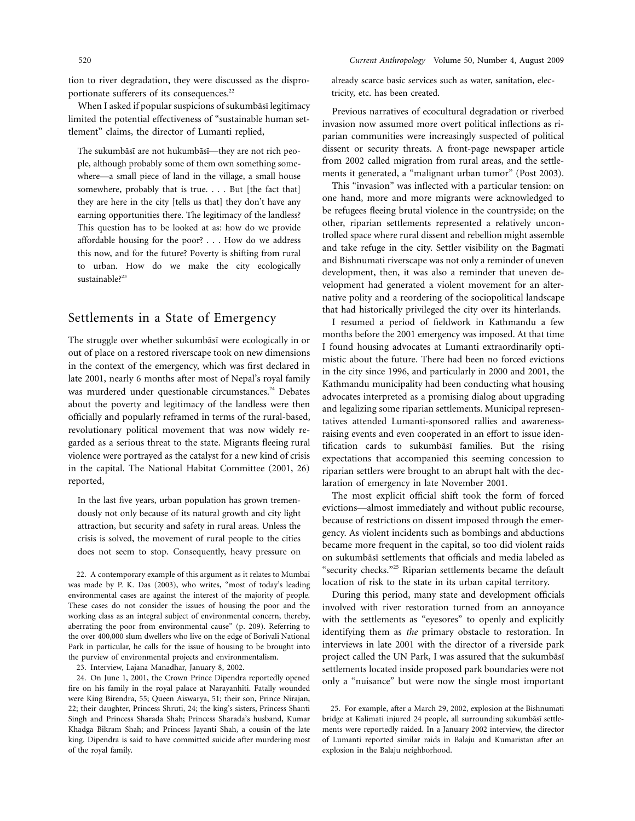tion to river degradation, they were discussed as the disproportionate sufferers of its consequences.<sup>22</sup>

When I asked if popular suspicions of sukumbasi legitimacy limited the potential effectiveness of "sustainable human settlement" claims, the director of Lumanti replied,

The sukumbāsī are not hukumbāsī—they are not rich people, although probably some of them own something somewhere—a small piece of land in the village, a small house somewhere, probably that is true. . . . But [the fact that] they are here in the city [tells us that] they don't have any earning opportunities there. The legitimacy of the landless? This question has to be looked at as: how do we provide affordable housing for the poor? . . . How do we address this now, and for the future? Poverty is shifting from rural to urban. How do we make the city ecologically sustainable?<sup>23</sup>

## Settlements in a State of Emergency

The struggle over whether sukumbāsī were ecologically in or out of place on a restored riverscape took on new dimensions in the context of the emergency, which was first declared in late 2001, nearly 6 months after most of Nepal's royal family was murdered under questionable circumstances.<sup>24</sup> Debates about the poverty and legitimacy of the landless were then officially and popularly reframed in terms of the rural-based, revolutionary political movement that was now widely regarded as a serious threat to the state. Migrants fleeing rural violence were portrayed as the catalyst for a new kind of crisis in the capital. The National Habitat Committee (2001, 26) reported,

In the last five years, urban population has grown tremendously not only because of its natural growth and city light attraction, but security and safety in rural areas. Unless the crisis is solved, the movement of rural people to the cities does not seem to stop. Consequently, heavy pressure on

22. A contemporary example of this argument as it relates to Mumbai was made by P. K. Das (2003), who writes, "most of today's leading environmental cases are against the interest of the majority of people. These cases do not consider the issues of housing the poor and the working class as an integral subject of environmental concern, thereby, aberrating the poor from environmental cause" (p. 209). Referring to the over 400,000 slum dwellers who live on the edge of Borivali National Park in particular, he calls for the issue of housing to be brought into the purview of environmental projects and environmentalism.

23. Interview, Lajana Manadhar, January 8, 2002.

24. On June 1, 2001, the Crown Prince Dipendra reportedly opened fire on his family in the royal palace at Narayanhiti. Fatally wounded were King Birendra, 55; Queen Aiswarya, 51; their son, Prince Nirajan, 22; their daughter, Princess Shruti, 24; the king's sisters, Princess Shanti Singh and Princess Sharada Shah; Princess Sharada's husband, Kumar Khadga Bikram Shah; and Princess Jayanti Shah, a cousin of the late king. Dipendra is said to have committed suicide after murdering most of the royal family.

already scarce basic services such as water, sanitation, electricity, etc. has been created.

Previous narratives of ecocultural degradation or riverbed invasion now assumed more overt political inflections as riparian communities were increasingly suspected of political dissent or security threats. A front-page newspaper article from 2002 called migration from rural areas, and the settlements it generated, a "malignant urban tumor" (Post 2003).

This "invasion" was inflected with a particular tension: on one hand, more and more migrants were acknowledged to be refugees fleeing brutal violence in the countryside; on the other, riparian settlements represented a relatively uncontrolled space where rural dissent and rebellion might assemble and take refuge in the city. Settler visibility on the Bagmati and Bishnumati riverscape was not only a reminder of uneven development, then, it was also a reminder that uneven development had generated a violent movement for an alternative polity and a reordering of the sociopolitical landscape that had historically privileged the city over its hinterlands.

I resumed a period of fieldwork in Kathmandu a few months before the 2001 emergency was imposed. At that time I found housing advocates at Lumanti extraordinarily optimistic about the future. There had been no forced evictions in the city since 1996, and particularly in 2000 and 2001, the Kathmandu municipality had been conducting what housing advocates interpreted as a promising dialog about upgrading and legalizing some riparian settlements. Municipal representatives attended Lumanti-sponsored rallies and awarenessraising events and even cooperated in an effort to issue identification cards to sukumbāsī families. But the rising expectations that accompanied this seeming concession to riparian settlers were brought to an abrupt halt with the declaration of emergency in late November 2001.

The most explicit official shift took the form of forced evictions—almost immediately and without public recourse, because of restrictions on dissent imposed through the emergency. As violent incidents such as bombings and abductions became more frequent in the capital, so too did violent raids on sukumbāsī settlements that officials and media labeled as "security checks."25 Riparian settlements became the default location of risk to the state in its urban capital territory.

During this period, many state and development officials involved with river restoration turned from an annoyance with the settlements as "eyesores" to openly and explicitly identifying them as *the* primary obstacle to restoration. In interviews in late 2001 with the director of a riverside park project called the UN Park, I was assured that the sukumbāsī settlements located inside proposed park boundaries were not only a "nuisance" but were now the single most important

25. For example, after a March 29, 2002, explosion at the Bishnumati bridge at Kalimati injured 24 people, all surrounding sukumbāsī settlements were reportedly raided. In a January 2002 interview, the director of Lumanti reported similar raids in Balaju and Kumaristan after an explosion in the Balaju neighborhood.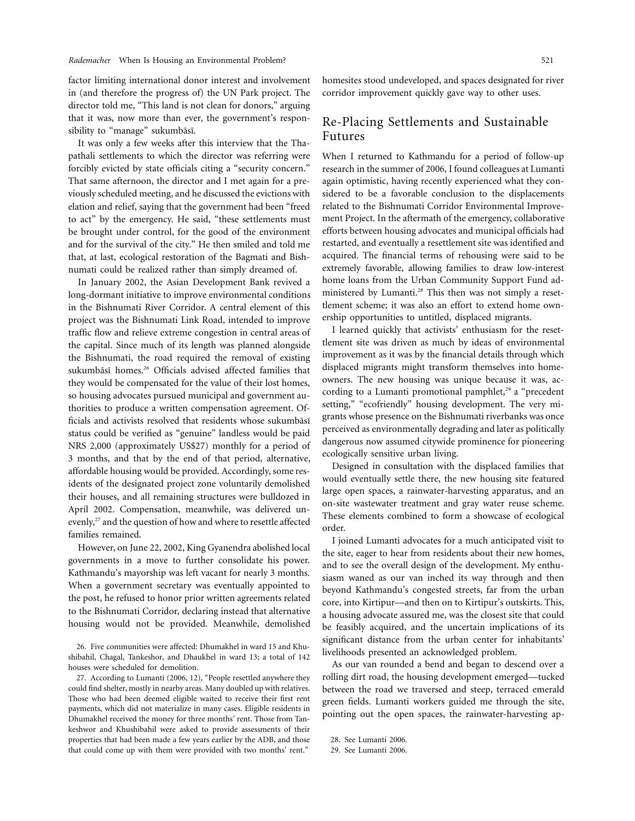factor limiting international donor interest and involvement in (and therefore the progress of) the UN Park project. The director told me, "This land is not clean for donors," arguing that it was, now more than ever, the government's responsibility to "manage" sukumbāsī.

It was only a few weeks after this interview that the Thapathali settlements to which the director was referring were forcibly evicted by state officials citing a "security concern." That same afternoon, the director and I met again for a previously scheduled meeting, and he discussed the evictions with elation and relief, saying that the government had been "freed to act" by the emergency. He said, "these settlements must be brought under control, for the good of the environment and for the survival of the city." He then smiled and told me that, at last, ecological restoration of the Bagmati and Bishnumati could be realized rather than simply dreamed of.

In January 2002, the Asian Development Bank revived a long-dormant initiative to improve environmental conditions in the Bishnumati River Corridor. A central element of this project was the Bishnumati Link Road, intended to improve traffic flow and relieve extreme congestion in central areas of the capital. Since much of its length was planned alongside the Bishnumati, the road required the removal of existing sukumbāsī homes.<sup>26</sup> Officials advised affected families that they would be compensated for the value of their lost homes, so housing advocates pursued municipal and government authorities to produce a written compensation agreement. Officials and activists resolved that residents whose sukumbāsī status could be verified as "genuine" landless would be paid NRS 2,000 (approximately US\$27) monthly for a period of 3 months, and that by the end of that period, alternative, affordable housing would be provided. Accordingly, some residents of the designated project zone voluntarily demolished their houses, and all remaining structures were bulldozed in April 2002. Compensation, meanwhile, was delivered unevenly, $^{27}$  and the question of how and where to resettle affected families remained.

However, on June 22, 2002, King Gyanendra abolished local governments in a move to further consolidate his power. Kathmandu's mayorship was left vacant for nearly 3 months. When a government secretary was eventually appointed to the post, he refused to honor prior written agreements related to the Bishnumati Corridor, declaring instead that alternative housing would not be provided. Meanwhile, demolished

26. Five communities were affected: Dhumakhel in ward 15 and Khushibahil, Chagal, Tankeshor, and Dhaukhel in ward 13; a total of 142 houses were scheduled for demolition.

27. According to Lumanti (2006, 12), "People resettled anywhere they could find shelter, mostly in nearby areas. Many doubled up with relatives. Those who had been deemed eligible waited to receive their first rent payments, which did not materialize in many cases. Eligible residents in Dhumakhel received the money for three months' rent. Those from Tankeshwor and Khushibahil were asked to provide assessments of their properties that had been made a few years earlier by the ADB, and those that could come up with them were provided with two months' rent."

homesites stood undeveloped, and spaces designated for river corridor improvement quickly gave way to other uses.

## Re-Placing Settlements and Sustainable Futures

When I returned to Kathmandu for a period of follow-up research in the summer of 2006, I found colleagues at Lumanti again optimistic, having recently experienced what they considered to be a favorable conclusion to the displacements related to the Bishnumati Corridor Environmental Improvement Project. In the aftermath of the emergency, collaborative efforts between housing advocates and municipal officials had restarted, and eventually a resettlement site was identified and acquired. The financial terms of rehousing were said to be extremely favorable, allowing families to draw low-interest home loans from the Urban Community Support Fund administered by Lumanti.<sup>28</sup> This then was not simply a resettlement scheme; it was also an effort to extend home ownership opportunities to untitled, displaced migrants.

I learned quickly that activists' enthusiasm for the resettlement site was driven as much by ideas of environmental improvement as it was by the financial details through which displaced migrants might transform themselves into homeowners. The new housing was unique because it was, according to a Lumanti promotional pamphlet,<sup>29</sup> a "precedent setting," "ecofriendly" housing development. The very migrants whose presence on the Bishnumati riverbanks was once perceived as environmentally degrading and later as politically dangerous now assumed citywide prominence for pioneering ecologically sensitive urban living.

Designed in consultation with the displaced families that would eventually settle there, the new housing site featured large open spaces, a rainwater-harvesting apparatus, and an on-site wastewater treatment and gray water reuse scheme. These elements combined to form a showcase of ecological order.

I joined Lumanti advocates for a much anticipated visit to the site, eager to hear from residents about their new homes, and to see the overall design of the development. My enthusiasm waned as our van inched its way through and then beyond Kathmandu's congested streets, far from the urban core, into Kirtipur—and then on to Kirtipur's outskirts. This, a housing advocate assured me, was the closest site that could be feasibly acquired, and the uncertain implications of its significant distance from the urban center for inhabitants' livelihoods presented an acknowledged problem.

As our van rounded a bend and began to descend over a rolling dirt road, the housing development emerged—tucked between the road we traversed and steep, terraced emerald green fields. Lumanti workers guided me through the site, pointing out the open spaces, the rainwater-harvesting ap-

<sup>28.</sup> See Lumanti 2006.

<sup>29.</sup> See Lumanti 2006.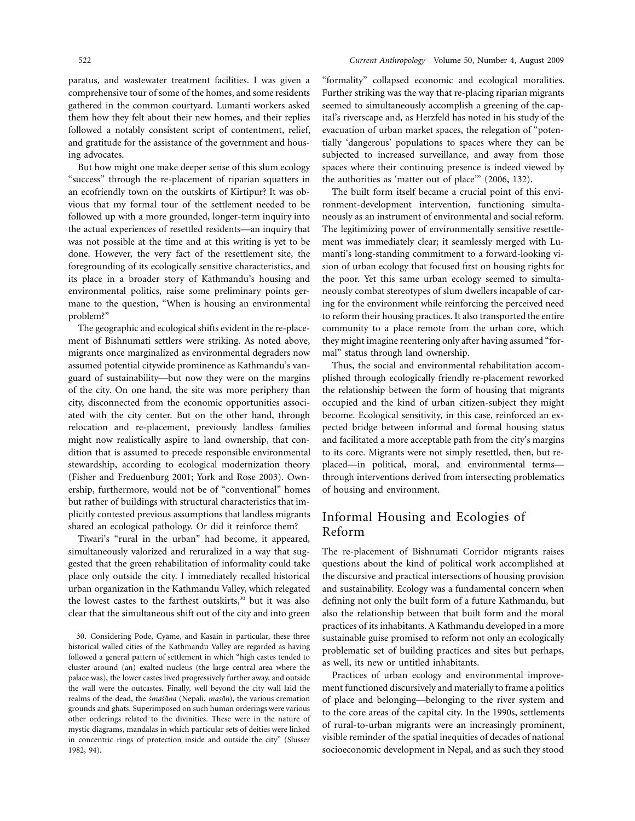paratus, and wastewater treatment facilities. I was given a comprehensive tour of some of the homes, and some residents gathered in the common courtyard. Lumanti workers asked them how they felt about their new homes, and their replies followed a notably consistent script of contentment, relief, and gratitude for the assistance of the government and housing advocates.

But how might one make deeper sense of this slum ecology "success" through the re-placement of riparian squatters in an ecofriendly town on the outskirts of Kirtipur? It was obvious that my formal tour of the settlement needed to be followed up with a more grounded, longer-term inquiry into the actual experiences of resettled residents—an inquiry that was not possible at the time and at this writing is yet to be done. However, the very fact of the resettlement site, the foregrounding of its ecologically sensitive characteristics, and its place in a broader story of Kathmandu's housing and environmental politics, raise some preliminary points germane to the question, "When is housing an environmental problem?"

The geographic and ecological shifts evident in the re-placement of Bishnumati settlers were striking. As noted above, migrants once marginalized as environmental degraders now assumed potential citywide prominence as Kathmandu's vanguard of sustainability—but now they were on the margins of the city. On one hand, the site was more periphery than city, disconnected from the economic opportunities associated with the city center. But on the other hand, through relocation and re-placement, previously landless families might now realistically aspire to land ownership, that condition that is assumed to precede responsible environmental stewardship, according to ecological modernization theory (Fisher and Freduenburg 2001; York and Rose 2003). Ownership, furthermore, would not be of "conventional" homes but rather of buildings with structural characteristics that implicitly contested previous assumptions that landless migrants shared an ecological pathology. Or did it reinforce them?

Tiwari's "rural in the urban" had become, it appeared, simultaneously valorized and reruralized in a way that suggested that the green rehabilitation of informality could take place only outside the city. I immediately recalled historical urban organization in the Kathmandu Valley, which relegated the lowest castes to the farthest outskirts, $30$  but it was also clear that the simultaneous shift out of the city and into green

30. Considering Pode, Cyāme, and Kasāin in particular, these three historical walled cities of the Kathmandu Valley are regarded as having followed a general pattern of settlement in which "high castes tended to cluster around (an) exalted nucleus (the large central area where the palace was), the lower castes lived progressively further away, and outside the wall were the outcastes. Finally, well beyond the city wall laid the realms of the dead, the *śmaśāna* (Nepali, *masān*), the various cremation grounds and ghats. Superimposed on such human orderings were various other orderings related to the divinities. These were in the nature of mystic diagrams, mandalas in which particular sets of deities were linked in concentric rings of protection inside and outside the city" (Slusser 1982, 94).

"formality" collapsed economic and ecological moralities. Further striking was the way that re-placing riparian migrants seemed to simultaneously accomplish a greening of the capital's riverscape and, as Herzfeld has noted in his study of the evacuation of urban market spaces, the relegation of "potentially 'dangerous' populations to spaces where they can be subjected to increased surveillance, and away from those spaces where their continuing presence is indeed viewed by the authorities as 'matter out of place'" (2006, 132).

The built form itself became a crucial point of this environment-development intervention, functioning simultaneously as an instrument of environmental and social reform. The legitimizing power of environmentally sensitive resettlement was immediately clear; it seamlessly merged with Lumanti's long-standing commitment to a forward-looking vision of urban ecology that focused first on housing rights for the poor. Yet this same urban ecology seemed to simultaneously combat stereotypes of slum dwellers incapable of caring for the environment while reinforcing the perceived need to reform their housing practices. It also transported the entire community to a place remote from the urban core, which they might imagine reentering only after having assumed "formal" status through land ownership.

Thus, the social and environmental rehabilitation accomplished through ecologically friendly re-placement reworked the relationship between the form of housing that migrants occupied and the kind of urban citizen-subject they might become. Ecological sensitivity, in this case, reinforced an expected bridge between informal and formal housing status and facilitated a more acceptable path from the city's margins to its core. Migrants were not simply resettled, then, but replaced—in political, moral, and environmental terms through interventions derived from intersecting problematics of housing and environment.

## Informal Housing and Ecologies of Reform

The re-placement of Bishnumati Corridor migrants raises questions about the kind of political work accomplished at the discursive and practical intersections of housing provision and sustainability. Ecology was a fundamental concern when defining not only the built form of a future Kathmandu, but also the relationship between that built form and the moral practices of its inhabitants. A Kathmandu developed in a more sustainable guise promised to reform not only an ecologically problematic set of building practices and sites but perhaps, as well, its new or untitled inhabitants.

Practices of urban ecology and environmental improvement functioned discursively and materially to frame a politics of place and belonging—belonging to the river system and to the core areas of the capital city. In the 1990s, settlements of rural-to-urban migrants were an increasingly prominent, visible reminder of the spatial inequities of decades of national socioeconomic development in Nepal, and as such they stood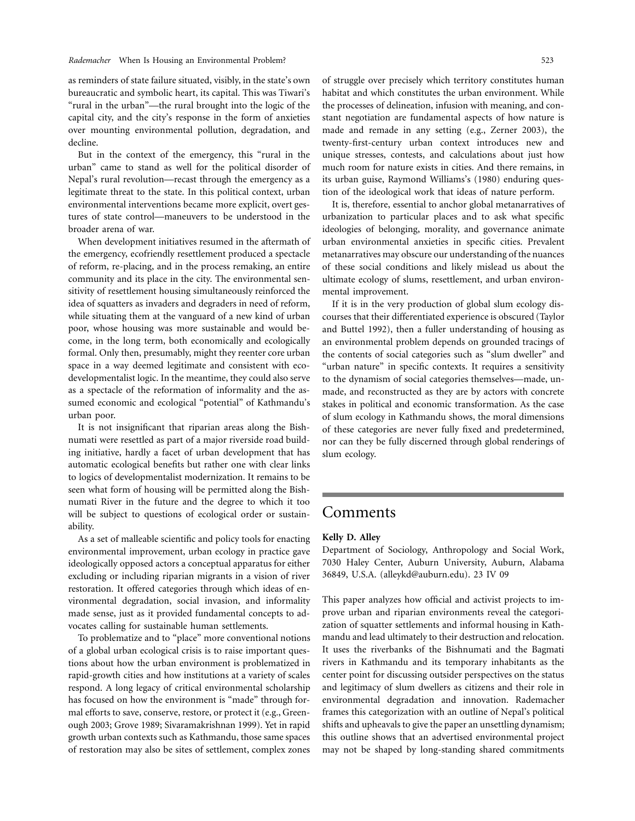as reminders of state failure situated, visibly, in the state's own bureaucratic and symbolic heart, its capital. This was Tiwari's "rural in the urban"—the rural brought into the logic of the capital city, and the city's response in the form of anxieties over mounting environmental pollution, degradation, and decline.

But in the context of the emergency, this "rural in the urban" came to stand as well for the political disorder of Nepal's rural revolution—recast through the emergency as a legitimate threat to the state. In this political context, urban environmental interventions became more explicit, overt gestures of state control—maneuvers to be understood in the broader arena of war.

When development initiatives resumed in the aftermath of the emergency, ecofriendly resettlement produced a spectacle of reform, re-placing, and in the process remaking, an entire community and its place in the city. The environmental sensitivity of resettlement housing simultaneously reinforced the idea of squatters as invaders and degraders in need of reform, while situating them at the vanguard of a new kind of urban poor, whose housing was more sustainable and would become, in the long term, both economically and ecologically formal. Only then, presumably, might they reenter core urban space in a way deemed legitimate and consistent with ecodevelopmentalist logic. In the meantime, they could also serve as a spectacle of the reformation of informality and the assumed economic and ecological "potential" of Kathmandu's urban poor.

It is not insignificant that riparian areas along the Bishnumati were resettled as part of a major riverside road building initiative, hardly a facet of urban development that has automatic ecological benefits but rather one with clear links to logics of developmentalist modernization. It remains to be seen what form of housing will be permitted along the Bishnumati River in the future and the degree to which it too will be subject to questions of ecological order or sustainability.

As a set of malleable scientific and policy tools for enacting environmental improvement, urban ecology in practice gave ideologically opposed actors a conceptual apparatus for either excluding or including riparian migrants in a vision of river restoration. It offered categories through which ideas of environmental degradation, social invasion, and informality made sense, just as it provided fundamental concepts to advocates calling for sustainable human settlements.

To problematize and to "place" more conventional notions of a global urban ecological crisis is to raise important questions about how the urban environment is problematized in rapid-growth cities and how institutions at a variety of scales respond. A long legacy of critical environmental scholarship has focused on how the environment is "made" through formal efforts to save, conserve, restore, or protect it (e.g., Greenough 2003; Grove 1989; Sivaramakrishnan 1999). Yet in rapid growth urban contexts such as Kathmandu, those same spaces of restoration may also be sites of settlement, complex zones

of struggle over precisely which territory constitutes human habitat and which constitutes the urban environment. While the processes of delineation, infusion with meaning, and constant negotiation are fundamental aspects of how nature is made and remade in any setting (e.g., Zerner 2003), the twenty-first-century urban context introduces new and unique stresses, contests, and calculations about just how much room for nature exists in cities. And there remains, in its urban guise, Raymond Williams's (1980) enduring question of the ideological work that ideas of nature perform.

It is, therefore, essential to anchor global metanarratives of urbanization to particular places and to ask what specific ideologies of belonging, morality, and governance animate urban environmental anxieties in specific cities. Prevalent metanarratives may obscure our understanding of the nuances of these social conditions and likely mislead us about the ultimate ecology of slums, resettlement, and urban environmental improvement.

If it is in the very production of global slum ecology discourses that their differentiated experience is obscured (Taylor and Buttel 1992), then a fuller understanding of housing as an environmental problem depends on grounded tracings of the contents of social categories such as "slum dweller" and "urban nature" in specific contexts. It requires a sensitivity to the dynamism of social categories themselves—made, unmade, and reconstructed as they are by actors with concrete stakes in political and economic transformation. As the case of slum ecology in Kathmandu shows, the moral dimensions of these categories are never fully fixed and predetermined, nor can they be fully discerned through global renderings of slum ecology.

## Comments

#### **Kelly D. Alley**

Department of Sociology, Anthropology and Social Work, 7030 Haley Center, Auburn University, Auburn, Alabama 36849, U.S.A. (alleykd@auburn.edu). 23 IV 09

This paper analyzes how official and activist projects to improve urban and riparian environments reveal the categorization of squatter settlements and informal housing in Kathmandu and lead ultimately to their destruction and relocation. It uses the riverbanks of the Bishnumati and the Bagmati rivers in Kathmandu and its temporary inhabitants as the center point for discussing outsider perspectives on the status and legitimacy of slum dwellers as citizens and their role in environmental degradation and innovation. Rademacher frames this categorization with an outline of Nepal's political shifts and upheavals to give the paper an unsettling dynamism; this outline shows that an advertised environmental project may not be shaped by long-standing shared commitments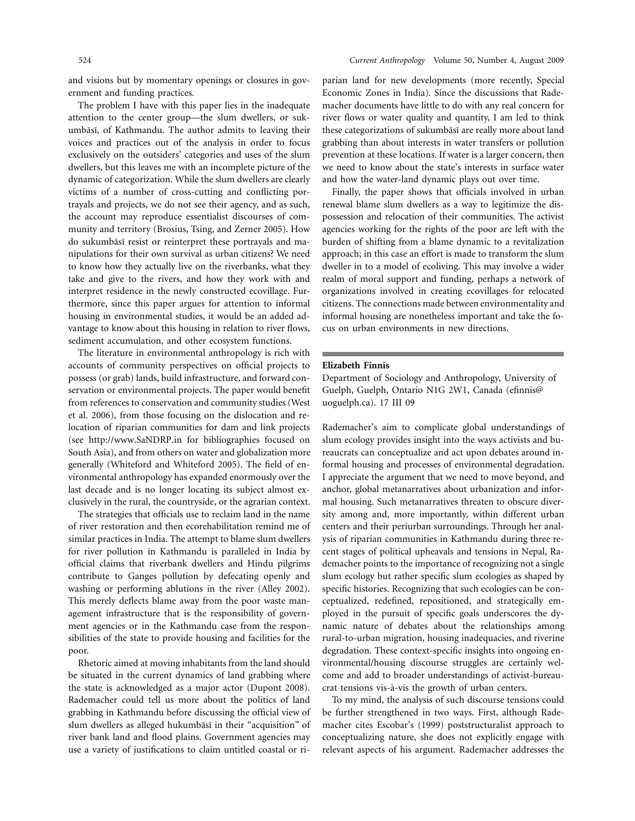and visions but by momentary openings or closures in government and funding practices.

The problem I have with this paper lies in the inadequate attention to the center group—the slum dwellers, or sukumbāsī, of Kathmandu. The author admits to leaving their voices and practices out of the analysis in order to focus exclusively on the outsiders' categories and uses of the slum dwellers, but this leaves me with an incomplete picture of the dynamic of categorization. While the slum dwellers are clearly victims of a number of cross-cutting and conflicting portrayals and projects, we do not see their agency, and as such, the account may reproduce essentialist discourses of community and territory (Brosius, Tsing, and Zerner 2005). How do sukumbāsī resist or reinterpret these portrayals and manipulations for their own survival as urban citizens? We need to know how they actually live on the riverbanks, what they take and give to the rivers, and how they work with and interpret residence in the newly constructed ecovillage. Furthermore, since this paper argues for attention to informal housing in environmental studies, it would be an added advantage to know about this housing in relation to river flows, sediment accumulation, and other ecosystem functions.

The literature in environmental anthropology is rich with accounts of community perspectives on official projects to possess (or grab) lands, build infrastructure, and forward conservation or environmental projects. The paper would benefit from references to conservation and community studies (West et al. 2006), from those focusing on the dislocation and relocation of riparian communities for dam and link projects (see http://www.SaNDRP.in for bibliographies focused on South Asia), and from others on water and globalization more generally (Whiteford and Whiteford 2005). The field of environmental anthropology has expanded enormously over the last decade and is no longer locating its subject almost exclusively in the rural, the countryside, or the agrarian context.

The strategies that officials use to reclaim land in the name of river restoration and then ecorehabilitation remind me of similar practices in India. The attempt to blame slum dwellers for river pollution in Kathmandu is paralleled in India by official claims that riverbank dwellers and Hindu pilgrims contribute to Ganges pollution by defecating openly and washing or performing ablutions in the river (Alley 2002). This merely deflects blame away from the poor waste management infrastructure that is the responsibility of government agencies or in the Kathmandu case from the responsibilities of the state to provide housing and facilities for the poor.

Rhetoric aimed at moving inhabitants from the land should be situated in the current dynamics of land grabbing where the state is acknowledged as a major actor (Dupont 2008). Rademacher could tell us more about the politics of land grabbing in Kathmandu before discussing the official view of slum dwellers as alleged hukumbāsī in their "acquisition" of river bank land and flood plains. Government agencies may use a variety of justifications to claim untitled coastal or riparian land for new developments (more recently, Special Economic Zones in India). Since the discussions that Rademacher documents have little to do with any real concern for river flows or water quality and quantity, I am led to think these categorizations of sukumbāsī are really more about land grabbing than about interests in water transfers or pollution prevention at these locations. If water is a larger concern, then we need to know about the state's interests in surface water and how the water-land dynamic plays out over time.

Finally, the paper shows that officials involved in urban renewal blame slum dwellers as a way to legitimize the dispossession and relocation of their communities. The activist agencies working for the rights of the poor are left with the burden of shifting from a blame dynamic to a revitalization approach; in this case an effort is made to transform the slum dweller in to a model of ecoliving. This may involve a wider realm of moral support and funding, perhaps a network of organizations involved in creating ecovillages for relocated citizens. The connections made between environmentality and informal housing are nonetheless important and take the focus on urban environments in new directions.

#### **Elizabeth Finnis**

Department of Sociology and Anthropology, University of Guelph, Guelph, Ontario N1G 2W1, Canada (efinnis@ uoguelph.ca). 17 III 09

Rademacher's aim to complicate global understandings of slum ecology provides insight into the ways activists and bureaucrats can conceptualize and act upon debates around informal housing and processes of environmental degradation. I appreciate the argument that we need to move beyond, and anchor, global metanarratives about urbanization and informal housing. Such metanarratives threaten to obscure diversity among and, more importantly, within different urban centers and their periurban surroundings. Through her analysis of riparian communities in Kathmandu during three recent stages of political upheavals and tensions in Nepal, Rademacher points to the importance of recognizing not a single slum ecology but rather specific slum ecologies as shaped by specific histories. Recognizing that such ecologies can be conceptualized, redefined, repositioned, and strategically employed in the pursuit of specific goals underscores the dynamic nature of debates about the relationships among rural-to-urban migration, housing inadequacies, and riverine degradation. These context-specific insights into ongoing environmental/housing discourse struggles are certainly welcome and add to broader understandings of activist-bureaucrat tensions vis-à-vis the growth of urban centers.

To my mind, the analysis of such discourse tensions could be further strengthened in two ways. First, although Rademacher cites Escobar's (1999) poststructuralist approach to conceptualizing nature, she does not explicitly engage with relevant aspects of his argument. Rademacher addresses the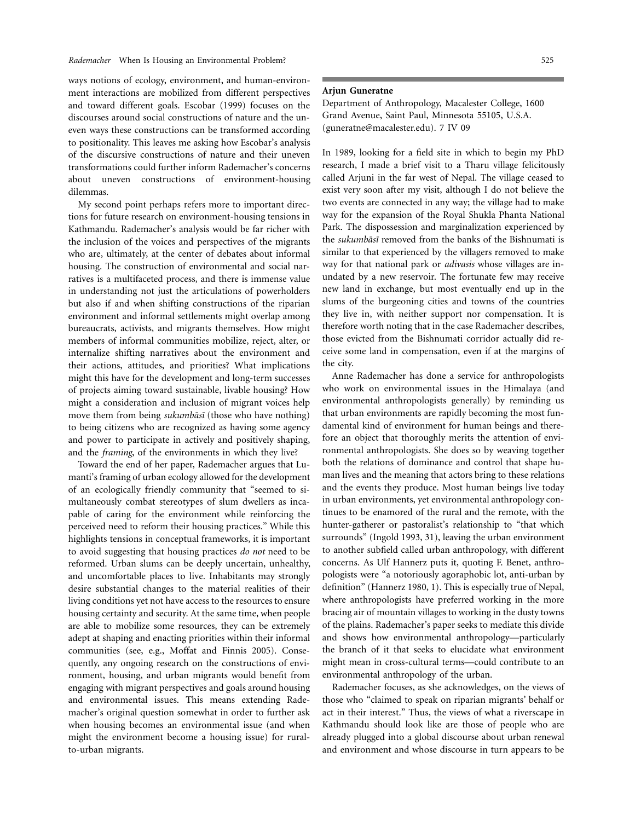ways notions of ecology, environment, and human-environment interactions are mobilized from different perspectives and toward different goals. Escobar (1999) focuses on the discourses around social constructions of nature and the uneven ways these constructions can be transformed according to positionality. This leaves me asking how Escobar's analysis of the discursive constructions of nature and their uneven transformations could further inform Rademacher's concerns about uneven constructions of environment-housing dilemmas.

My second point perhaps refers more to important directions for future research on environment-housing tensions in Kathmandu. Rademacher's analysis would be far richer with the inclusion of the voices and perspectives of the migrants who are, ultimately, at the center of debates about informal housing. The construction of environmental and social narratives is a multifaceted process, and there is immense value in understanding not just the articulations of powerholders but also if and when shifting constructions of the riparian environment and informal settlements might overlap among bureaucrats, activists, and migrants themselves. How might members of informal communities mobilize, reject, alter, or internalize shifting narratives about the environment and their actions, attitudes, and priorities? What implications might this have for the development and long-term successes of projects aiming toward sustainable, livable housing? How might a consideration and inclusion of migrant voices help move them from being *sukumbāsī* (those who have nothing) to being citizens who are recognized as having some agency and power to participate in actively and positively shaping, and the *framing*, of the environments in which they live?

Toward the end of her paper, Rademacher argues that Lumanti's framing of urban ecology allowed for the development of an ecologically friendly community that "seemed to simultaneously combat stereotypes of slum dwellers as incapable of caring for the environment while reinforcing the perceived need to reform their housing practices." While this highlights tensions in conceptual frameworks, it is important to avoid suggesting that housing practices *do not* need to be reformed. Urban slums can be deeply uncertain, unhealthy, and uncomfortable places to live. Inhabitants may strongly desire substantial changes to the material realities of their living conditions yet not have access to the resources to ensure housing certainty and security. At the same time, when people are able to mobilize some resources, they can be extremely adept at shaping and enacting priorities within their informal communities (see, e.g., Moffat and Finnis 2005). Consequently, any ongoing research on the constructions of environment, housing, and urban migrants would benefit from engaging with migrant perspectives and goals around housing and environmental issues. This means extending Rademacher's original question somewhat in order to further ask when housing becomes an environmental issue (and when might the environment become a housing issue) for ruralto-urban migrants.

#### **Arjun Guneratne**

Department of Anthropology, Macalester College, 1600 Grand Avenue, Saint Paul, Minnesota 55105, U.S.A. (guneratne@macalester.edu). 7 IV 09

In 1989, looking for a field site in which to begin my PhD research, I made a brief visit to a Tharu village felicitously called Arjuni in the far west of Nepal. The village ceased to exist very soon after my visit, although I do not believe the two events are connected in any way; the village had to make way for the expansion of the Royal Shukla Phanta National Park. The dispossession and marginalization experienced by the *sukumbāsī* removed from the banks of the Bishnumati is similar to that experienced by the villagers removed to make way for that national park or *adivasis* whose villages are inundated by a new reservoir. The fortunate few may receive new land in exchange, but most eventually end up in the slums of the burgeoning cities and towns of the countries they live in, with neither support nor compensation. It is therefore worth noting that in the case Rademacher describes, those evicted from the Bishnumati corridor actually did receive some land in compensation, even if at the margins of the city.

Anne Rademacher has done a service for anthropologists who work on environmental issues in the Himalaya (and environmental anthropologists generally) by reminding us that urban environments are rapidly becoming the most fundamental kind of environment for human beings and therefore an object that thoroughly merits the attention of environmental anthropologists. She does so by weaving together both the relations of dominance and control that shape human lives and the meaning that actors bring to these relations and the events they produce. Most human beings live today in urban environments, yet environmental anthropology continues to be enamored of the rural and the remote, with the hunter-gatherer or pastoralist's relationship to "that which surrounds" (Ingold 1993, 31), leaving the urban environment to another subfield called urban anthropology, with different concerns. As Ulf Hannerz puts it, quoting F. Benet, anthropologists were "a notoriously agoraphobic lot, anti-urban by definition" (Hannerz 1980, 1). This is especially true of Nepal, where anthropologists have preferred working in the more bracing air of mountain villages to working in the dusty towns of the plains. Rademacher's paper seeks to mediate this divide and shows how environmental anthropology—particularly the branch of it that seeks to elucidate what environment might mean in cross-cultural terms—could contribute to an environmental anthropology of the urban.

Rademacher focuses, as she acknowledges, on the views of those who "claimed to speak on riparian migrants' behalf or act in their interest." Thus, the views of what a riverscape in Kathmandu should look like are those of people who are already plugged into a global discourse about urban renewal and environment and whose discourse in turn appears to be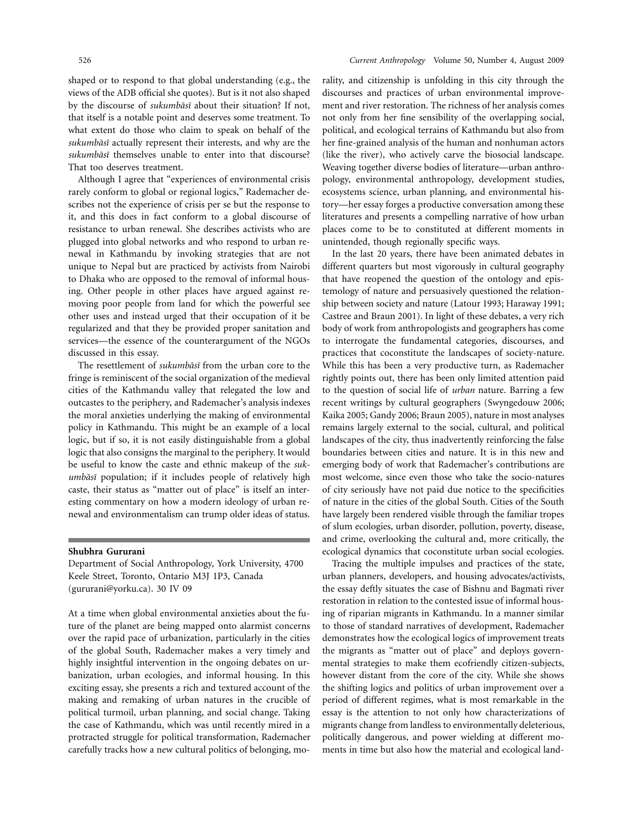shaped or to respond to that global understanding (e.g., the views of the ADB official she quotes). But is it not also shaped by the discourse of *sukumbāsī* about their situation? If not, that itself is a notable point and deserves some treatment. To what extent do those who claim to speak on behalf of the *sukumba¯sı¯* actually represent their interests, and why are the sukumbāsī themselves unable to enter into that discourse? That too deserves treatment.

Although I agree that "experiences of environmental crisis rarely conform to global or regional logics," Rademacher describes not the experience of crisis per se but the response to it, and this does in fact conform to a global discourse of resistance to urban renewal. She describes activists who are plugged into global networks and who respond to urban renewal in Kathmandu by invoking strategies that are not unique to Nepal but are practiced by activists from Nairobi to Dhaka who are opposed to the removal of informal housing. Other people in other places have argued against removing poor people from land for which the powerful see other uses and instead urged that their occupation of it be regularized and that they be provided proper sanitation and services—the essence of the counterargument of the NGOs discussed in this essay.

The resettlement of *sukumbāsī* from the urban core to the fringe is reminiscent of the social organization of the medieval cities of the Kathmandu valley that relegated the low and outcastes to the periphery, and Rademacher's analysis indexes the moral anxieties underlying the making of environmental policy in Kathmandu. This might be an example of a local logic, but if so, it is not easily distinguishable from a global logic that also consigns the marginal to the periphery. It would be useful to know the caste and ethnic makeup of the *sukumbāsī* population; if it includes people of relatively high caste, their status as "matter out of place" is itself an interesting commentary on how a modern ideology of urban renewal and environmentalism can trump older ideas of status.

#### **Shubhra Gururani**

Department of Social Anthropology, York University, 4700 Keele Street, Toronto, Ontario M3J 1P3, Canada (gururani@yorku.ca). 30 IV 09

At a time when global environmental anxieties about the future of the planet are being mapped onto alarmist concerns over the rapid pace of urbanization, particularly in the cities of the global South, Rademacher makes a very timely and highly insightful intervention in the ongoing debates on urbanization, urban ecologies, and informal housing. In this exciting essay, she presents a rich and textured account of the making and remaking of urban natures in the crucible of political turmoil, urban planning, and social change. Taking the case of Kathmandu, which was until recently mired in a protracted struggle for political transformation, Rademacher carefully tracks how a new cultural politics of belonging, morality, and citizenship is unfolding in this city through the discourses and practices of urban environmental improvement and river restoration. The richness of her analysis comes not only from her fine sensibility of the overlapping social, political, and ecological terrains of Kathmandu but also from her fine-grained analysis of the human and nonhuman actors (like the river), who actively carve the biosocial landscape. Weaving together diverse bodies of literature—urban anthropology, environmental anthropology, development studies, ecosystems science, urban planning, and environmental history—her essay forges a productive conversation among these literatures and presents a compelling narrative of how urban places come to be to constituted at different moments in unintended, though regionally specific ways.

In the last 20 years, there have been animated debates in different quarters but most vigorously in cultural geography that have reopened the question of the ontology and epistemology of nature and persuasively questioned the relationship between society and nature (Latour 1993; Haraway 1991; Castree and Braun 2001). In light of these debates, a very rich body of work from anthropologists and geographers has come to interrogate the fundamental categories, discourses, and practices that coconstitute the landscapes of society-nature. While this has been a very productive turn, as Rademacher rightly points out, there has been only limited attention paid to the question of social life of *urban* nature. Barring a few recent writings by cultural geographers (Swyngedouw 2006; Kaika 2005; Gandy 2006; Braun 2005), nature in most analyses remains largely external to the social, cultural, and political landscapes of the city, thus inadvertently reinforcing the false boundaries between cities and nature. It is in this new and emerging body of work that Rademacher's contributions are most welcome, since even those who take the socio-natures of city seriously have not paid due notice to the specificities of nature in the cities of the global South. Cities of the South have largely been rendered visible through the familiar tropes of slum ecologies, urban disorder, pollution, poverty, disease, and crime, overlooking the cultural and, more critically, the ecological dynamics that coconstitute urban social ecologies.

Tracing the multiple impulses and practices of the state, urban planners, developers, and housing advocates/activists, the essay deftly situates the case of Bishnu and Bagmati river restoration in relation to the contested issue of informal housing of riparian migrants in Kathmandu. In a manner similar to those of standard narratives of development, Rademacher demonstrates how the ecological logics of improvement treats the migrants as "matter out of place" and deploys governmental strategies to make them ecofriendly citizen-subjects, however distant from the core of the city. While she shows the shifting logics and politics of urban improvement over a period of different regimes, what is most remarkable in the essay is the attention to not only how characterizations of migrants change from landless to environmentally deleterious, politically dangerous, and power wielding at different moments in time but also how the material and ecological land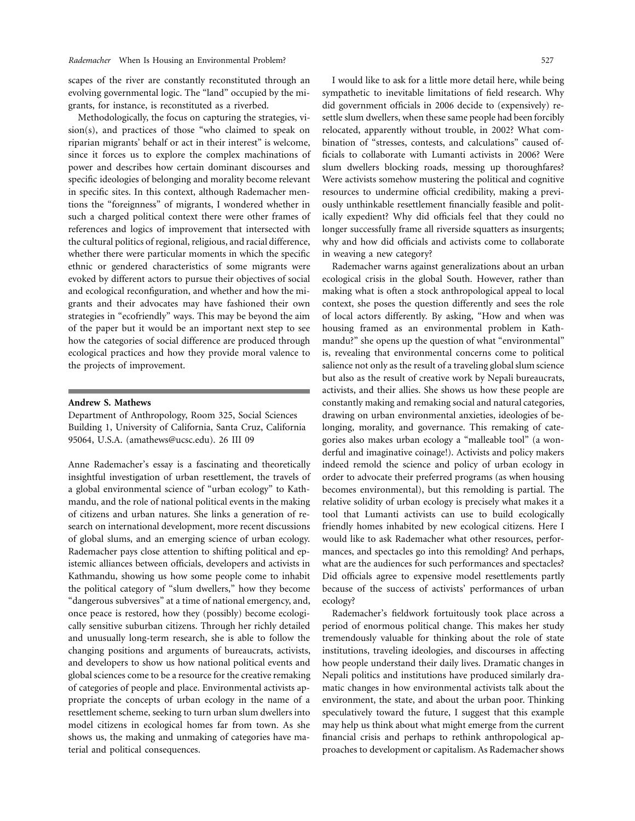scapes of the river are constantly reconstituted through an evolving governmental logic. The "land" occupied by the migrants, for instance, is reconstituted as a riverbed.

Methodologically, the focus on capturing the strategies, vision(s), and practices of those "who claimed to speak on riparian migrants' behalf or act in their interest" is welcome, since it forces us to explore the complex machinations of power and describes how certain dominant discourses and specific ideologies of belonging and morality become relevant in specific sites. In this context, although Rademacher mentions the "foreignness" of migrants, I wondered whether in such a charged political context there were other frames of references and logics of improvement that intersected with the cultural politics of regional, religious, and racial difference, whether there were particular moments in which the specific ethnic or gendered characteristics of some migrants were evoked by different actors to pursue their objectives of social and ecological reconfiguration, and whether and how the migrants and their advocates may have fashioned their own strategies in "ecofriendly" ways. This may be beyond the aim of the paper but it would be an important next step to see how the categories of social difference are produced through ecological practices and how they provide moral valence to the projects of improvement.

#### **Andrew S. Mathews**

Department of Anthropology, Room 325, Social Sciences Building 1, University of California, Santa Cruz, California 95064, U.S.A. (amathews@ucsc.edu). 26 III 09

Anne Rademacher's essay is a fascinating and theoretically insightful investigation of urban resettlement, the travels of a global environmental science of "urban ecology" to Kathmandu, and the role of national political events in the making of citizens and urban natures. She links a generation of research on international development, more recent discussions of global slums, and an emerging science of urban ecology. Rademacher pays close attention to shifting political and epistemic alliances between officials, developers and activists in Kathmandu, showing us how some people come to inhabit the political category of "slum dwellers," how they become "dangerous subversives" at a time of national emergency, and, once peace is restored, how they (possibly) become ecologically sensitive suburban citizens. Through her richly detailed and unusually long-term research, she is able to follow the changing positions and arguments of bureaucrats, activists, and developers to show us how national political events and global sciences come to be a resource for the creative remaking of categories of people and place. Environmental activists appropriate the concepts of urban ecology in the name of a resettlement scheme, seeking to turn urban slum dwellers into model citizens in ecological homes far from town. As she shows us, the making and unmaking of categories have material and political consequences.

I would like to ask for a little more detail here, while being sympathetic to inevitable limitations of field research. Why did government officials in 2006 decide to (expensively) resettle slum dwellers, when these same people had been forcibly relocated, apparently without trouble, in 2002? What combination of "stresses, contests, and calculations" caused officials to collaborate with Lumanti activists in 2006? Were slum dwellers blocking roads, messing up thoroughfares? Were activists somehow mustering the political and cognitive resources to undermine official credibility, making a previously unthinkable resettlement financially feasible and politically expedient? Why did officials feel that they could no longer successfully frame all riverside squatters as insurgents; why and how did officials and activists come to collaborate in weaving a new category?

Rademacher warns against generalizations about an urban ecological crisis in the global South. However, rather than making what is often a stock anthropological appeal to local context, she poses the question differently and sees the role of local actors differently. By asking, "How and when was housing framed as an environmental problem in Kathmandu?" she opens up the question of what "environmental" is, revealing that environmental concerns come to political salience not only as the result of a traveling global slum science but also as the result of creative work by Nepali bureaucrats, activists, and their allies. She shows us how these people are constantly making and remaking social and natural categories, drawing on urban environmental anxieties, ideologies of belonging, morality, and governance. This remaking of categories also makes urban ecology a "malleable tool" (a wonderful and imaginative coinage!). Activists and policy makers indeed remold the science and policy of urban ecology in order to advocate their preferred programs (as when housing becomes environmental), but this remolding is partial. The relative solidity of urban ecology is precisely what makes it a tool that Lumanti activists can use to build ecologically friendly homes inhabited by new ecological citizens. Here I would like to ask Rademacher what other resources, performances, and spectacles go into this remolding? And perhaps, what are the audiences for such performances and spectacles? Did officials agree to expensive model resettlements partly because of the success of activists' performances of urban ecology?

Rademacher's fieldwork fortuitously took place across a period of enormous political change. This makes her study tremendously valuable for thinking about the role of state institutions, traveling ideologies, and discourses in affecting how people understand their daily lives. Dramatic changes in Nepali politics and institutions have produced similarly dramatic changes in how environmental activists talk about the environment, the state, and about the urban poor. Thinking speculatively toward the future, I suggest that this example may help us think about what might emerge from the current financial crisis and perhaps to rethink anthropological approaches to development or capitalism. As Rademacher shows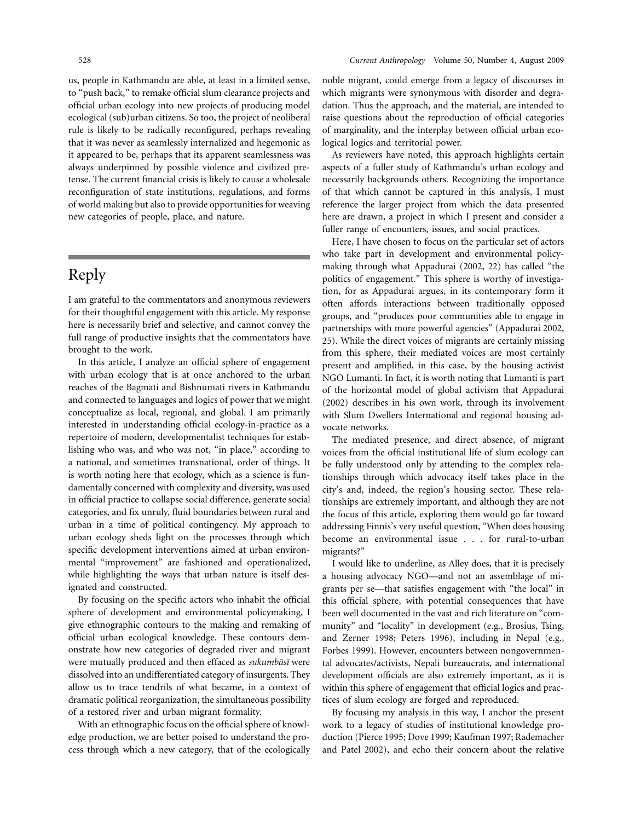us, people in Kathmandu are able, at least in a limited sense, to "push back," to remake official slum clearance projects and official urban ecology into new projects of producing model ecological (sub)urban citizens. So too, the project of neoliberal rule is likely to be radically reconfigured, perhaps revealing that it was never as seamlessly internalized and hegemonic as it appeared to be, perhaps that its apparent seamlessness was always underpinned by possible violence and civilized pretense. The current financial crisis is likely to cause a wholesale reconfiguration of state institutions, regulations, and forms of world making but also to provide opportunities for weaving new categories of people, place, and nature.

## Reply

I am grateful to the commentators and anonymous reviewers for their thoughtful engagement with this article. My response here is necessarily brief and selective, and cannot convey the full range of productive insights that the commentators have brought to the work.

In this article, I analyze an official sphere of engagement with urban ecology that is at once anchored to the urban reaches of the Bagmati and Bishnumati rivers in Kathmandu and connected to languages and logics of power that we might conceptualize as local, regional, and global. I am primarily interested in understanding official ecology-in-practice as a repertoire of modern, developmentalist techniques for establishing who was, and who was not, "in place," according to a national, and sometimes transnational, order of things. It is worth noting here that ecology, which as a science is fundamentally concerned with complexity and diversity, was used in official practice to collapse social difference, generate social categories, and fix unruly, fluid boundaries between rural and urban in a time of political contingency. My approach to urban ecology sheds light on the processes through which specific development interventions aimed at urban environmental "improvement" are fashioned and operationalized, while highlighting the ways that urban nature is itself designated and constructed.

By focusing on the specific actors who inhabit the official sphere of development and environmental policymaking, I give ethnographic contours to the making and remaking of official urban ecological knowledge. These contours demonstrate how new categories of degraded river and migrant were mutually produced and then effaced as *sukumbāsī* were dissolved into an undifferentiated category of insurgents. They allow us to trace tendrils of what became, in a context of dramatic political reorganization, the simultaneous possibility of a restored river and urban migrant formality.

With an ethnographic focus on the official sphere of knowledge production, we are better poised to understand the process through which a new category, that of the ecologically noble migrant, could emerge from a legacy of discourses in which migrants were synonymous with disorder and degradation. Thus the approach, and the material, are intended to raise questions about the reproduction of official categories of marginality, and the interplay between official urban ecological logics and territorial power.

As reviewers have noted, this approach highlights certain aspects of a fuller study of Kathmandu's urban ecology and necessarily backgrounds others. Recognizing the importance of that which cannot be captured in this analysis, I must reference the larger project from which the data presented here are drawn, a project in which I present and consider a fuller range of encounters, issues, and social practices.

Here, I have chosen to focus on the particular set of actors who take part in development and environmental policymaking through what Appadurai (2002, 22) has called "the politics of engagement." This sphere is worthy of investigation, for as Appadurai argues, in its contemporary form it often affords interactions between traditionally opposed groups, and "produces poor communities able to engage in partnerships with more powerful agencies" (Appadurai 2002, 25). While the direct voices of migrants are certainly missing from this sphere, their mediated voices are most certainly present and amplified, in this case, by the housing activist NGO Lumanti. In fact, it is worth noting that Lumanti is part of the horizontal model of global activism that Appadurai (2002) describes in his own work, through its involvement with Slum Dwellers International and regional housing advocate networks.

The mediated presence, and direct absence, of migrant voices from the official institutional life of slum ecology can be fully understood only by attending to the complex relationships through which advocacy itself takes place in the city's and, indeed, the region's housing sector. These relationships are extremely important, and although they are not the focus of this article, exploring them would go far toward addressing Finnis's very useful question, "When does housing become an environmental issue . . . for rural-to-urban migrants?"

I would like to underline, as Alley does, that it is precisely a housing advocacy NGO—and not an assemblage of migrants per se—that satisfies engagement with "the local" in this official sphere, with potential consequences that have been well documented in the vast and rich literature on "community" and "locality" in development (e.g., Brosius, Tsing, and Zerner 1998; Peters 1996), including in Nepal (e.g., Forbes 1999). However, encounters between nongovernmental advocates/activists, Nepali bureaucrats, and international development officials are also extremely important, as it is within this sphere of engagement that official logics and practices of slum ecology are forged and reproduced.

By focusing my analysis in this way, I anchor the present work to a legacy of studies of institutional knowledge production (Pierce 1995; Dove 1999; Kaufman 1997; Rademacher and Patel 2002), and echo their concern about the relative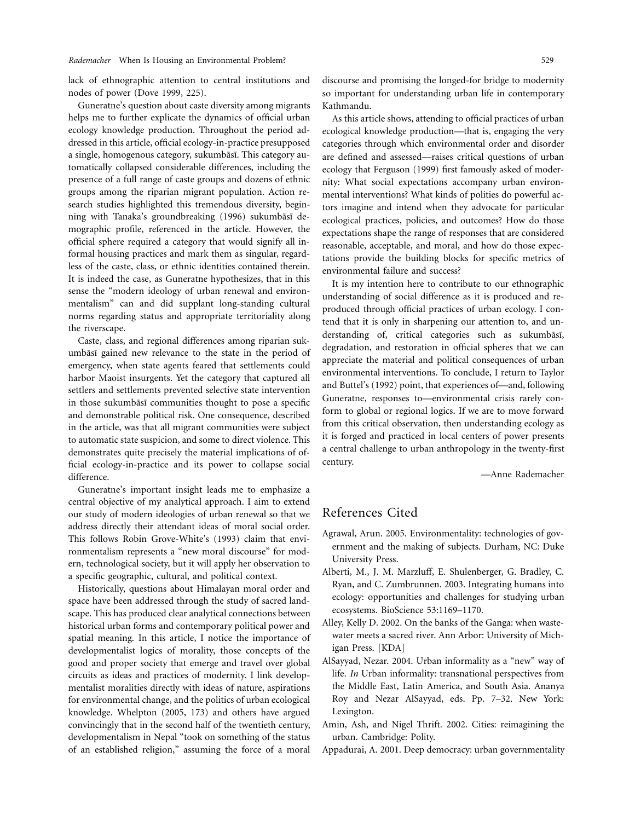lack of ethnographic attention to central institutions and nodes of power (Dove 1999, 225).

Guneratne's question about caste diversity among migrants helps me to further explicate the dynamics of official urban ecology knowledge production. Throughout the period addressed in this article, official ecology-in-practice presupposed a single, homogenous category, sukumbāsī. This category automatically collapsed considerable differences, including the presence of a full range of caste groups and dozens of ethnic groups among the riparian migrant population. Action research studies highlighted this tremendous diversity, beginning with Tanaka's groundbreaking (1996) sukumbāsī demographic profile, referenced in the article. However, the official sphere required a category that would signify all informal housing practices and mark them as singular, regardless of the caste, class, or ethnic identities contained therein. It is indeed the case, as Guneratne hypothesizes, that in this sense the "modern ideology of urban renewal and environmentalism" can and did supplant long-standing cultural norms regarding status and appropriate territoriality along the riverscape.

Caste, class, and regional differences among riparian sukumbāsī gained new relevance to the state in the period of emergency, when state agents feared that settlements could harbor Maoist insurgents. Yet the category that captured all settlers and settlements prevented selective state intervention in those sukumbāsī communities thought to pose a specific and demonstrable political risk. One consequence, described in the article, was that all migrant communities were subject to automatic state suspicion, and some to direct violence. This demonstrates quite precisely the material implications of official ecology-in-practice and its power to collapse social difference.

Guneratne's important insight leads me to emphasize a central objective of my analytical approach. I aim to extend our study of modern ideologies of urban renewal so that we address directly their attendant ideas of moral social order. This follows Robin Grove-White's (1993) claim that environmentalism represents a "new moral discourse" for modern, technological society, but it will apply her observation to a specific geographic, cultural, and political context.

Historically, questions about Himalayan moral order and space have been addressed through the study of sacred landscape. This has produced clear analytical connections between historical urban forms and contemporary political power and spatial meaning. In this article, I notice the importance of developmentalist logics of morality, those concepts of the good and proper society that emerge and travel over global circuits as ideas and practices of modernity. I link developmentalist moralities directly with ideas of nature, aspirations for environmental change, and the politics of urban ecological knowledge. Whelpton (2005, 173) and others have argued convincingly that in the second half of the twentieth century, developmentalism in Nepal "took on something of the status of an established religion," assuming the force of a moral discourse and promising the longed-for bridge to modernity so important for understanding urban life in contemporary Kathmandu.

As this article shows, attending to official practices of urban ecological knowledge production—that is, engaging the very categories through which environmental order and disorder are defined and assessed—raises critical questions of urban ecology that Ferguson (1999) first famously asked of modernity: What social expectations accompany urban environmental interventions? What kinds of polities do powerful actors imagine and intend when they advocate for particular ecological practices, policies, and outcomes? How do those expectations shape the range of responses that are considered reasonable, acceptable, and moral, and how do those expectations provide the building blocks for specific metrics of environmental failure and success?

It is my intention here to contribute to our ethnographic understanding of social difference as it is produced and reproduced through official practices of urban ecology. I contend that it is only in sharpening our attention to, and understanding of, critical categories such as sukumbāsī, degradation, and restoration in official spheres that we can appreciate the material and political consequences of urban environmental interventions. To conclude, I return to Taylor and Buttel's (1992) point, that experiences of—and, following Guneratne, responses to—environmental crisis rarely conform to global or regional logics. If we are to move forward from this critical observation, then understanding ecology as it is forged and practiced in local centers of power presents a central challenge to urban anthropology in the twenty-first century.

—Anne Rademacher

## References Cited

- Agrawal, Arun. 2005. Environmentality: technologies of government and the making of subjects. Durham, NC: Duke University Press.
- Alberti, M., J. M. Marzluff, E. Shulenberger, G. Bradley, C. Ryan, and C. Zumbrunnen. 2003. Integrating humans into ecology: opportunities and challenges for studying urban ecosystems. BioScience 53:1169–1170.
- Alley, Kelly D. 2002. On the banks of the Ganga: when wastewater meets a sacred river. Ann Arbor: University of Michigan Press. [KDA]
- AlSayyad, Nezar. 2004. Urban informality as a "new" way of life. *In* Urban informality: transnational perspectives from the Middle East, Latin America, and South Asia. Ananya Roy and Nezar AlSayyad, eds. Pp. 7–32. New York: Lexington.
- Amin, Ash, and Nigel Thrift. 2002. Cities: reimagining the urban. Cambridge: Polity.
- Appadurai, A. 2001. Deep democracy: urban governmentality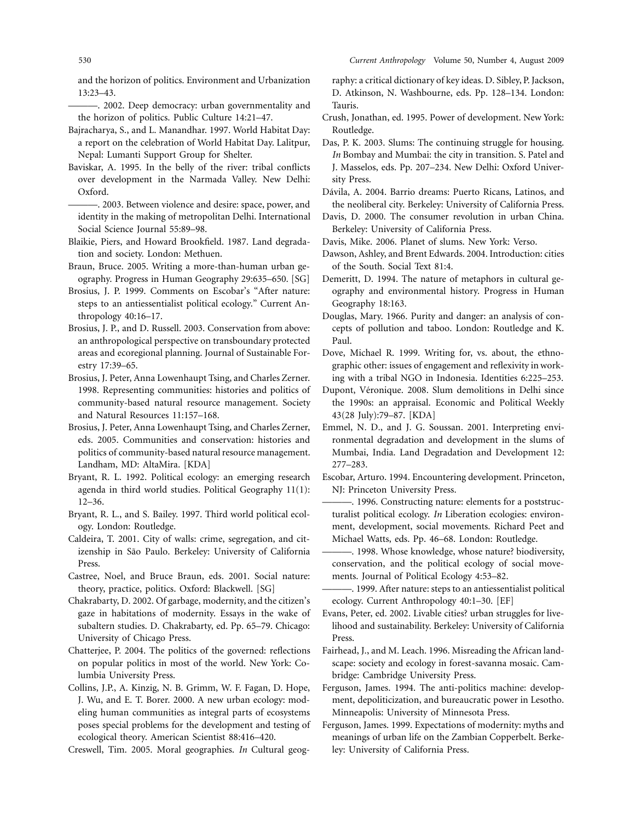and the horizon of politics. Environment and Urbanization 13:23–43.

- ———. 2002. Deep democracy: urban governmentality and the horizon of politics. Public Culture 14:21–47.
- Bajracharya, S., and L. Manandhar. 1997. World Habitat Day: a report on the celebration of World Habitat Day. Lalitpur, Nepal: Lumanti Support Group for Shelter.
- Baviskar, A. 1995. In the belly of the river: tribal conflicts over development in the Narmada Valley. New Delhi: Oxford.
- -. 2003. Between violence and desire: space, power, and identity in the making of metropolitan Delhi. International Social Science Journal 55:89–98.
- Blaikie, Piers, and Howard Brookfield. 1987. Land degradation and society. London: Methuen.
- Braun, Bruce. 2005. Writing a more-than-human urban geography. Progress in Human Geography 29:635–650. [SG]
- Brosius, J. P. 1999. Comments on Escobar's "After nature: steps to an antiessentialist political ecology." Current Anthropology 40:16–17.
- Brosius, J. P., and D. Russell. 2003. Conservation from above: an anthropological perspective on transboundary protected areas and ecoregional planning. Journal of Sustainable Forestry 17:39–65.
- Brosius, J. Peter, Anna Lowenhaupt Tsing, and Charles Zerner. 1998. Representing communities: histories and politics of community-based natural resource management. Society and Natural Resources 11:157–168.
- Brosius, J. Peter, Anna Lowenhaupt Tsing, and Charles Zerner, eds. 2005. Communities and conservation: histories and politics of community-based natural resource management. Landham, MD: AltaMira. [KDA]
- Bryant, R. L. 1992. Political ecology: an emerging research agenda in third world studies. Political Geography 11(1): 12–36.
- Bryant, R. L., and S. Bailey. 1997. Third world political ecology. London: Routledge.
- Caldeira, T. 2001. City of walls: crime, segregation, and citizenship in São Paulo. Berkeley: University of California Press.
- Castree, Noel, and Bruce Braun, eds. 2001. Social nature: theory, practice, politics. Oxford: Blackwell. [SG]
- Chakrabarty, D. 2002. Of garbage, modernity, and the citizen's gaze in habitations of modernity. Essays in the wake of subaltern studies. D. Chakrabarty, ed. Pp. 65–79. Chicago: University of Chicago Press.
- Chatterjee, P. 2004. The politics of the governed: reflections on popular politics in most of the world. New York: Columbia University Press.
- Collins, J.P., A. Kinzig, N. B. Grimm, W. F. Fagan, D. Hope, J. Wu, and E. T. Borer. 2000. A new urban ecology: modeling human communities as integral parts of ecosystems poses special problems for the development and testing of ecological theory. American Scientist 88:416–420.
- Creswell, Tim. 2005. Moral geographies. *In* Cultural geog-

raphy: a critical dictionary of key ideas. D. Sibley, P. Jackson, D. Atkinson, N. Washbourne, eds. Pp. 128–134. London: Tauris.

- Crush, Jonathan, ed. 1995. Power of development. New York: Routledge.
- Das, P. K. 2003. Slums: The continuing struggle for housing. *In* Bombay and Mumbai: the city in transition. S. Patel and J. Masselos, eds. Pp. 207–234. New Delhi: Oxford University Press.
- Dávila, A. 2004. Barrio dreams: Puerto Ricans, Latinos, and the neoliberal city. Berkeley: University of California Press.
- Davis, D. 2000. The consumer revolution in urban China. Berkeley: University of California Press.
- Davis, Mike. 2006. Planet of slums. New York: Verso.
- Dawson, Ashley, and Brent Edwards. 2004. Introduction: cities of the South. Social Text 81:4.
- Demeritt, D. 1994. The nature of metaphors in cultural geography and environmental history. Progress in Human Geography 18:163.
- Douglas, Mary. 1966. Purity and danger: an analysis of concepts of pollution and taboo. London: Routledge and K. Paul.
- Dove, Michael R. 1999. Writing for, vs. about, the ethnographic other: issues of engagement and reflexivity in working with a tribal NGO in Indonesia. Identities 6:225–253.
- Dupont, Véronique. 2008. Slum demolitions in Delhi since the 1990s: an appraisal. Economic and Political Weekly 43(28 July):79–87. [KDA]
- Emmel, N. D., and J. G. Soussan. 2001. Interpreting environmental degradation and development in the slums of Mumbai, India. Land Degradation and Development 12: 277–283.
- Escobar, Arturo. 1994. Encountering development. Princeton, NJ: Princeton University Press.
- -. 1996. Constructing nature: elements for a poststructuralist political ecology. *In* Liberation ecologies: environment, development, social movements. Richard Peet and Michael Watts, eds. Pp. 46–68. London: Routledge.
- ———. 1998. Whose knowledge, whose nature? biodiversity, conservation, and the political ecology of social movements. Journal of Political Ecology 4:53–82.
- -. 1999. After nature: steps to an antiessentialist political ecology. Current Anthropology 40:1–30. [EF]
- Evans, Peter, ed. 2002. Livable cities? urban struggles for livelihood and sustainability. Berkeley: University of California Press.
- Fairhead, J., and M. Leach. 1996. Misreading the African landscape: society and ecology in forest-savanna mosaic. Cambridge: Cambridge University Press.
- Ferguson, James. 1994. The anti-politics machine: development, depoliticization, and bureaucratic power in Lesotho. Minneapolis: University of Minnesota Press.
- Ferguson, James. 1999. Expectations of modernity: myths and meanings of urban life on the Zambian Copperbelt. Berkeley: University of California Press.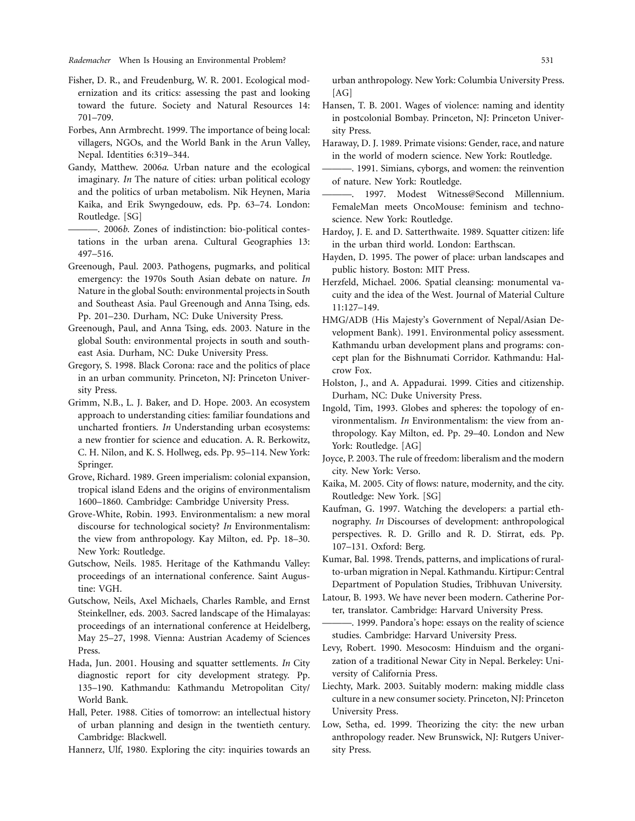*Rademacher* When Is Housing an Environmental Problem? 531

- Fisher, D. R., and Freudenburg, W. R. 2001. Ecological modernization and its critics: assessing the past and looking toward the future. Society and Natural Resources 14: 701–709.
- Forbes, Ann Armbrecht. 1999. The importance of being local: villagers, NGOs, and the World Bank in the Arun Valley, Nepal. Identities 6:319–344.
- Gandy, Matthew. 2006*a*. Urban nature and the ecological imaginary. *In* The nature of cities: urban political ecology and the politics of urban metabolism. Nik Heynen, Maria Kaika, and Erik Swyngedouw, eds. Pp. 63–74. London: Routledge. [SG]
- ———. 2006*b*. Zones of indistinction: bio-political contestations in the urban arena. Cultural Geographies 13: 497–516.
- Greenough, Paul. 2003. Pathogens, pugmarks, and political emergency: the 1970s South Asian debate on nature. *In* Nature in the global South: environmental projects in South and Southeast Asia. Paul Greenough and Anna Tsing, eds. Pp. 201–230. Durham, NC: Duke University Press.
- Greenough, Paul, and Anna Tsing, eds. 2003. Nature in the global South: environmental projects in south and southeast Asia. Durham, NC: Duke University Press.
- Gregory, S. 1998. Black Corona: race and the politics of place in an urban community. Princeton, NJ: Princeton University Press.
- Grimm, N.B., L. J. Baker, and D. Hope. 2003. An ecosystem approach to understanding cities: familiar foundations and uncharted frontiers. *In* Understanding urban ecosystems: a new frontier for science and education. A. R. Berkowitz, C. H. Nilon, and K. S. Hollweg, eds. Pp. 95–114. New York: Springer.
- Grove, Richard. 1989. Green imperialism: colonial expansion, tropical island Edens and the origins of environmentalism 1600–1860. Cambridge: Cambridge University Press.
- Grove-White, Robin. 1993. Environmentalism: a new moral discourse for technological society? *In* Environmentalism: the view from anthropology. Kay Milton, ed. Pp. 18–30. New York: Routledge.
- Gutschow, Neils. 1985. Heritage of the Kathmandu Valley: proceedings of an international conference. Saint Augustine: VGH.
- Gutschow, Neils, Axel Michaels, Charles Ramble, and Ernst Steinkellner, eds. 2003. Sacred landscape of the Himalayas: proceedings of an international conference at Heidelberg, May 25–27, 1998. Vienna: Austrian Academy of Sciences Press.
- Hada, Jun. 2001. Housing and squatter settlements. *In* City diagnostic report for city development strategy. Pp. 135–190. Kathmandu: Kathmandu Metropolitan City/ World Bank.
- Hall, Peter. 1988. Cities of tomorrow: an intellectual history of urban planning and design in the twentieth century. Cambridge: Blackwell.
- Hannerz, Ulf, 1980. Exploring the city: inquiries towards an

urban anthropology. New York: Columbia University Press. [AG]

- Hansen, T. B. 2001. Wages of violence: naming and identity in postcolonial Bombay. Princeton, NJ: Princeton University Press.
- Haraway, D. J. 1989. Primate visions: Gender, race, and nature in the world of modern science. New York: Routledge.
- ———. 1991. Simians, cyborgs, and women: the reinvention of nature. New York: Routledge.
- 1997. Modest Witness@Second Millennium. FemaleMan meets OncoMouse: feminism and technoscience. New York: Routledge.
- Hardoy, J. E. and D. Satterthwaite. 1989. Squatter citizen: life in the urban third world. London: Earthscan.
- Hayden, D. 1995. The power of place: urban landscapes and public history. Boston: MIT Press.
- Herzfeld, Michael. 2006. Spatial cleansing: monumental vacuity and the idea of the West. Journal of Material Culture 11:127–149.
- HMG/ADB (His Majesty's Government of Nepal/Asian Development Bank). 1991. Environmental policy assessment. Kathmandu urban development plans and programs: concept plan for the Bishnumati Corridor. Kathmandu: Halcrow Fox.
- Holston, J., and A. Appadurai. 1999. Cities and citizenship. Durham, NC: Duke University Press.
- Ingold, Tim, 1993. Globes and spheres: the topology of environmentalism. *In* Environmentalism: the view from anthropology. Kay Milton, ed. Pp. 29–40. London and New York: Routledge. [AG]
- Joyce, P. 2003. The rule of freedom: liberalism and the modern city. New York: Verso.
- Kaika, M. 2005. City of flows: nature, modernity, and the city. Routledge: New York. [SG]
- Kaufman, G. 1997. Watching the developers: a partial ethnography. *In* Discourses of development: anthropological perspectives. R. D. Grillo and R. D. Stirrat, eds. Pp. 107–131. Oxford: Berg.
- Kumar, Bal. 1998. Trends, patterns, and implications of ruralto-urban migration in Nepal. Kathmandu. Kirtipur: Central Department of Population Studies, Tribhuvan University.
- Latour, B. 1993. We have never been modern. Catherine Porter, translator. Cambridge: Harvard University Press.
- -. 1999. Pandora's hope: essays on the reality of science studies. Cambridge: Harvard University Press.
- Levy, Robert. 1990. Mesocosm: Hinduism and the organization of a traditional Newar City in Nepal. Berkeley: University of California Press.
- Liechty, Mark. 2003. Suitably modern: making middle class culture in a new consumer society. Princeton, NJ: Princeton University Press.
- Low, Setha, ed. 1999. Theorizing the city: the new urban anthropology reader. New Brunswick, NJ: Rutgers University Press.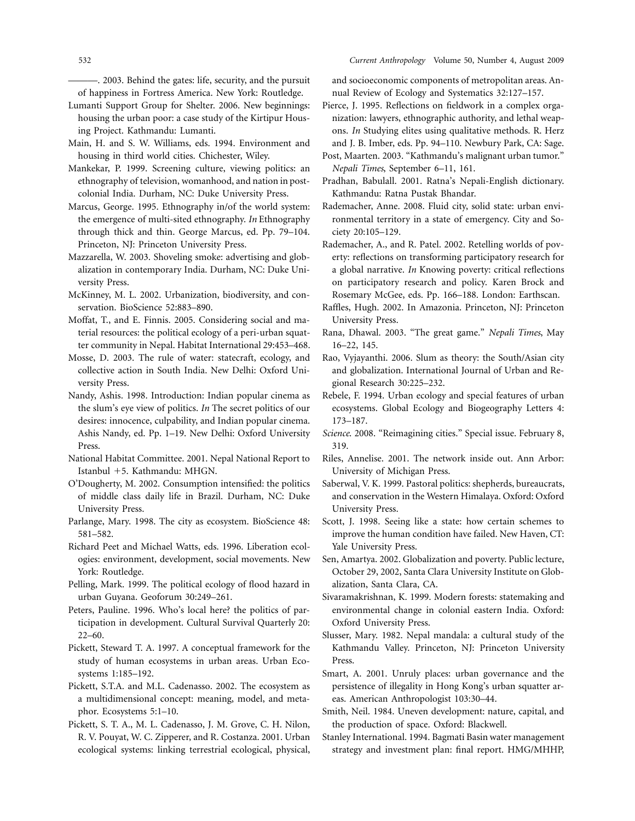———. 2003. Behind the gates: life, security, and the pursuit of happiness in Fortress America. New York: Routledge.

- Lumanti Support Group for Shelter. 2006. New beginnings: housing the urban poor: a case study of the Kirtipur Housing Project. Kathmandu: Lumanti.
- Main, H. and S. W. Williams, eds. 1994. Environment and housing in third world cities. Chichester, Wiley.
- Mankekar, P. 1999. Screening culture, viewing politics: an ethnography of television, womanhood, and nation in postcolonial India. Durham, NC: Duke University Press.
- Marcus, George. 1995. Ethnography in/of the world system: the emergence of multi-sited ethnography. *In* Ethnography through thick and thin. George Marcus, ed. Pp. 79–104. Princeton, NJ: Princeton University Press.
- Mazzarella, W. 2003. Shoveling smoke: advertising and globalization in contemporary India. Durham, NC: Duke University Press.
- McKinney, M. L. 2002. Urbanization, biodiversity, and conservation. BioScience 52:883–890.
- Moffat, T., and E. Finnis. 2005. Considering social and material resources: the political ecology of a peri-urban squatter community in Nepal. Habitat International 29:453–468.
- Mosse, D. 2003. The rule of water: statecraft, ecology, and collective action in South India. New Delhi: Oxford University Press.
- Nandy, Ashis. 1998. Introduction: Indian popular cinema as the slum's eye view of politics. *In* The secret politics of our desires: innocence, culpability, and Indian popular cinema. Ashis Nandy, ed. Pp. 1–19. New Delhi: Oxford University Press.
- National Habitat Committee. 2001. Nepal National Report to Istanbul +5. Kathmandu: MHGN.
- O'Dougherty, M. 2002. Consumption intensified: the politics of middle class daily life in Brazil. Durham, NC: Duke University Press.
- Parlange, Mary. 1998. The city as ecosystem. BioScience 48: 581–582.
- Richard Peet and Michael Watts, eds. 1996. Liberation ecologies: environment, development, social movements. New York: Routledge.
- Pelling, Mark. 1999. The political ecology of flood hazard in urban Guyana. Geoforum 30:249–261.
- Peters, Pauline. 1996. Who's local here? the politics of participation in development. Cultural Survival Quarterly 20: 22–60.
- Pickett, Steward T. A. 1997. A conceptual framework for the study of human ecosystems in urban areas. Urban Ecosystems 1:185–192.
- Pickett, S.T.A. and M.L. Cadenasso. 2002. The ecosystem as a multidimensional concept: meaning, model, and metaphor. Ecosystems 5:1–10.
- Pickett, S. T. A., M. L. Cadenasso, J. M. Grove, C. H. Nilon, R. V. Pouyat, W. C. Zipperer, and R. Costanza. 2001. Urban ecological systems: linking terrestrial ecological, physical,

and socioeconomic components of metropolitan areas. Annual Review of Ecology and Systematics 32:127–157.

- Pierce, J. 1995. Reflections on fieldwork in a complex organization: lawyers, ethnographic authority, and lethal weapons. *In* Studying elites using qualitative methods. R. Herz and J. B. Imber, eds. Pp. 94–110. Newbury Park, CA: Sage.
- Post, Maarten. 2003. "Kathmandu's malignant urban tumor." *Nepali Times*, September 6–11, 161.
- Pradhan, Babulall. 2001. Ratna's Nepali-English dictionary. Kathmandu: Ratna Pustak Bhandar.
- Rademacher, Anne. 2008. Fluid city, solid state: urban environmental territory in a state of emergency. City and Society 20:105–129.
- Rademacher, A., and R. Patel. 2002. Retelling worlds of poverty: reflections on transforming participatory research for a global narrative. *In* Knowing poverty: critical reflections on participatory research and policy. Karen Brock and Rosemary McGee, eds. Pp. 166–188. London: Earthscan.
- Raffles, Hugh. 2002. In Amazonia. Princeton, NJ: Princeton University Press.
- Rana, Dhawal. 2003. "The great game." *Nepali Times*, May 16–22, 145.
- Rao, Vyjayanthi. 2006. Slum as theory: the South/Asian city and globalization. International Journal of Urban and Regional Research 30:225–232.
- Rebele, F. 1994. Urban ecology and special features of urban ecosystems. Global Ecology and Biogeography Letters 4: 173–187.
- *Science*. 2008. "Reimagining cities." Special issue. February 8, 319.
- Riles, Annelise. 2001. The network inside out. Ann Arbor: University of Michigan Press.
- Saberwal, V. K. 1999. Pastoral politics: shepherds, bureaucrats, and conservation in the Western Himalaya. Oxford: Oxford University Press.
- Scott, J. 1998. Seeing like a state: how certain schemes to improve the human condition have failed. New Haven, CT: Yale University Press.
- Sen, Amartya. 2002. Globalization and poverty. Public lecture, October 29, 2002, Santa Clara University Institute on Globalization, Santa Clara, CA.
- Sivaramakrishnan, K. 1999. Modern forests: statemaking and environmental change in colonial eastern India. Oxford: Oxford University Press.
- Slusser, Mary. 1982. Nepal mandala: a cultural study of the Kathmandu Valley. Princeton, NJ: Princeton University Press.
- Smart, A. 2001. Unruly places: urban governance and the persistence of illegality in Hong Kong's urban squatter areas. American Anthropologist 103:30–44.
- Smith, Neil. 1984. Uneven development: nature, capital, and the production of space. Oxford: Blackwell.
- Stanley International. 1994. Bagmati Basin water management strategy and investment plan: final report. HMG/MHHP,